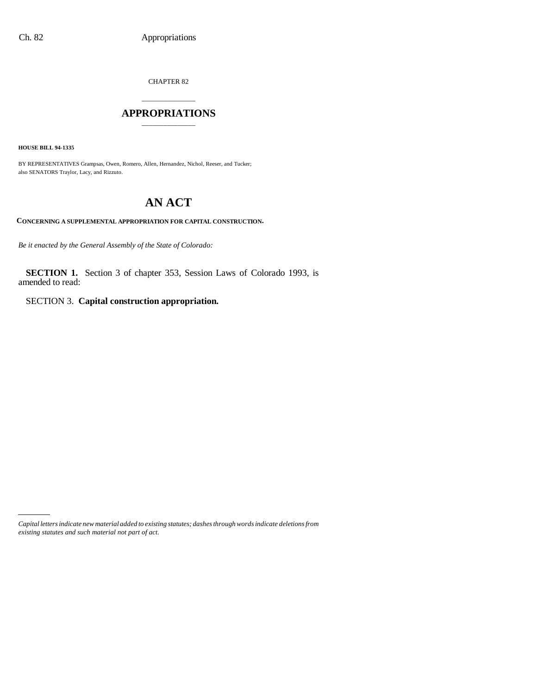CHAPTER 82

## \_\_\_\_\_\_\_\_\_\_\_\_\_\_\_ **APPROPRIATIONS** \_\_\_\_\_\_\_\_\_\_\_\_\_\_\_

**HOUSE BILL 94-1335**

BY REPRESENTATIVES Grampsas, Owen, Romero, Allen, Hernandez, Nichol, Reeser, and Tucker; also SENATORS Traylor, Lacy, and Rizzuto.

# **AN ACT**

**CONCERNING A SUPPLEMENTAL APPROPRIATION FOR CAPITAL CONSTRUCTION.**

*Be it enacted by the General Assembly of the State of Colorado:*

**SECTION 1.** Section 3 of chapter 353, Session Laws of Colorado 1993, is amended to read:

SECTION 3. **Capital construction appropriation.**

*Capital letters indicate new material added to existing statutes; dashes through words indicate deletions from existing statutes and such material not part of act.*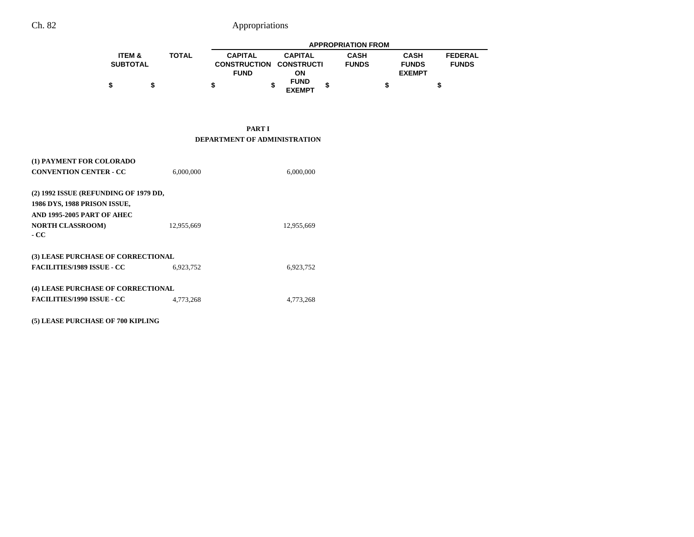|                   |              | <b>APPROPRIATION FROM</b>      |  |                              |  |              |               |                |
|-------------------|--------------|--------------------------------|--|------------------------------|--|--------------|---------------|----------------|
| <b>ITEM &amp;</b> | <b>TOTAL</b> | <b>CAPITAL</b>                 |  | <b>CAPITAL</b>               |  | <b>CASH</b>  | <b>CASH</b>   | <b>FEDERAL</b> |
| <b>SUBTOTAL</b>   |              | <b>CONSTRUCTION CONSTRUCTI</b> |  |                              |  | <b>FUNDS</b> | <b>FUNDS</b>  | <b>FUNDS</b>   |
|                   |              | <b>FUND</b>                    |  | ΟN                           |  |              | <b>EXEMPT</b> |                |
| \$                |              |                                |  | <b>FUND</b><br><b>EXEMPT</b> |  |              |               |                |

**PART I DEPARTMENT OF ADMINISTRATION**

| (1) PAYMENT FOR COLORADO              |            |            |
|---------------------------------------|------------|------------|
| <b>CONVENTION CENTER - CC</b>         | 6,000,000  | 6,000,000  |
|                                       |            |            |
| (2) 1992 ISSUE (REFUNDING OF 1979 DD, |            |            |
| 1986 DYS, 1988 PRISON ISSUE,          |            |            |
| AND 1995-2005 PART OF AHEC            |            |            |
| <b>NORTH CLASSROOM)</b>               | 12,955,669 | 12,955,669 |
| - CC                                  |            |            |
|                                       |            |            |
| (3) LEASE PURCHASE OF CORRECTIONAL    |            |            |
| <b>FACILITIES/1989 ISSUE - CC</b>     | 6.923.752  | 6,923,752  |
|                                       |            |            |
| (4) LEASE PURCHASE OF CORRECTIONAL    |            |            |
| <b>FACILITIES/1990 ISSUE - CC</b>     | 4,773,268  | 4,773,268  |
|                                       |            |            |

**(5) LEASE PURCHASE OF 700 KIPLING**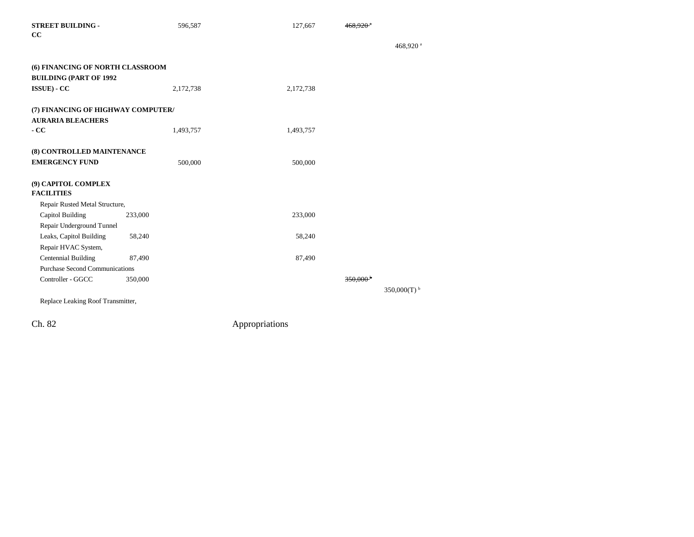| <b>STREET BUILDING -</b><br>cc           | 596,587   | 127,667   | $468,920$ <sup>*</sup> |                       |
|------------------------------------------|-----------|-----------|------------------------|-----------------------|
|                                          |           |           |                        | 468,920 <sup>a</sup>  |
| (6) FINANCING OF NORTH CLASSROOM         |           |           |                        |                       |
| <b>BUILDING (PART OF 1992</b>            |           |           |                        |                       |
| ISSUE) - CC                              | 2,172,738 | 2,172,738 |                        |                       |
| (7) FINANCING OF HIGHWAY COMPUTER/       |           |           |                        |                       |
| <b>AURARIA BLEACHERS</b>                 |           |           |                        |                       |
| $-CC$                                    | 1,493,757 | 1,493,757 |                        |                       |
| (8) CONTROLLED MAINTENANCE               |           |           |                        |                       |
| <b>EMERGENCY FUND</b>                    | 500,000   | 500,000   |                        |                       |
| (9) CAPITOL COMPLEX<br><b>FACILITIES</b> |           |           |                        |                       |
| Repair Rusted Metal Structure,           |           |           |                        |                       |
| Capitol Building                         | 233,000   | 233,000   |                        |                       |
| Repair Underground Tunnel                |           |           |                        |                       |
| Leaks, Capitol Building                  | 58,240    | 58,240    |                        |                       |
| Repair HVAC System,                      |           |           |                        |                       |
| <b>Centennial Building</b>               | 87,490    | 87,490    |                        |                       |
| <b>Purchase Second Communications</b>    |           |           |                        |                       |
| Controller - GGCC                        | 350,000   |           | $350.000^{+}$          |                       |
| Replace Leaking Roof Transmitter,        |           |           |                        | 350,000(T) $^{\rm b}$ |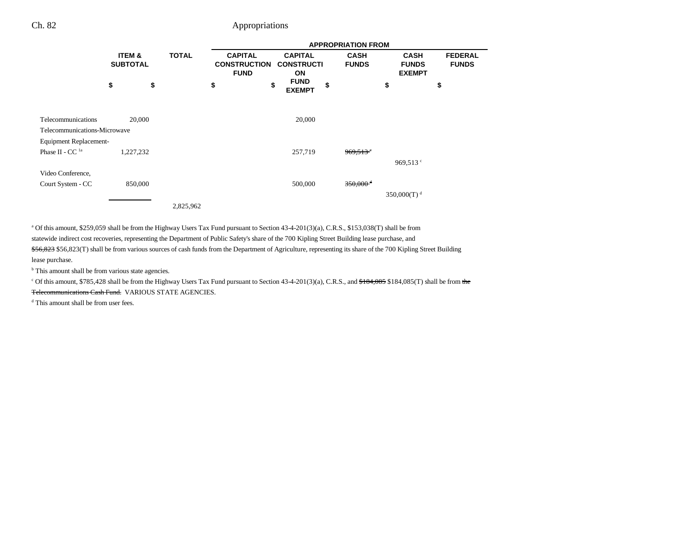|                              |                           |              |                                                      |                                           | <b>APPROPRIATION FROM</b>   |                                              |                                |
|------------------------------|---------------------------|--------------|------------------------------------------------------|-------------------------------------------|-----------------------------|----------------------------------------------|--------------------------------|
|                              | ITEM &<br><b>SUBTOTAL</b> | <b>TOTAL</b> | <b>CAPITAL</b><br><b>CONSTRUCTION</b><br><b>FUND</b> | <b>CAPITAL</b><br><b>CONSTRUCTI</b><br>ON | <b>CASH</b><br><b>FUNDS</b> | <b>CASH</b><br><b>FUNDS</b><br><b>EXEMPT</b> | <b>FEDERAL</b><br><b>FUNDS</b> |
|                              | \$<br>\$                  |              | \$<br>\$                                             | <b>FUND</b><br><b>EXEMPT</b>              | \$                          | \$                                           | \$                             |
| Telecommunications           | 20,000                    |              |                                                      | 20,000                                    |                             |                                              |                                |
| Telecommunications-Microwave |                           |              |                                                      |                                           |                             |                                              |                                |
| Equipment Replacement-       |                           |              |                                                      |                                           |                             |                                              |                                |
| Phase II - CC <sup>1a</sup>  | 1,227,232                 |              |                                                      | 257,719                                   | $969,513$ <sup>c</sup>      |                                              |                                |
|                              |                           |              |                                                      |                                           |                             | 969,513 $\degree$                            |                                |
| Video Conference,            |                           |              |                                                      |                                           |                             |                                              |                                |
| Court System - CC            | 850,000                   |              |                                                      | 500,000                                   | $350,000$ <sup>d</sup>      |                                              |                                |
|                              |                           |              |                                                      |                                           |                             | 350,000(T) <sup>d</sup>                      |                                |
|                              |                           | 2,825,962    |                                                      |                                           |                             |                                              |                                |

a Of this amount, \$259,059 shall be from the Highway Users Tax Fund pursuant to Section 43-4-201(3)(a), C.R.S., \$153,038(T) shall be from statewide indirect cost recoveries, representing the Department of Public Safety's share of the 700 Kipling Street Building lease purchase, and \$56,823 \$56,823(T) shall be from various sources of cash funds from the Department of Agriculture, representing its share of the 700 Kipling Street Building lease purchase.

<sup>b</sup> This amount shall be from various state agencies.

 $c$  Of this amount, \$785,428 shall be from the Highway Users Tax Fund pursuant to Section 43-4-201(3)(a), C.R.S., and  $$184,085$$  \$184,085(T) shall be from the <del>Telecommunications Cash Fund.</del> VARIOUS STATE AGENCIES.

d This amount shall be from user fees.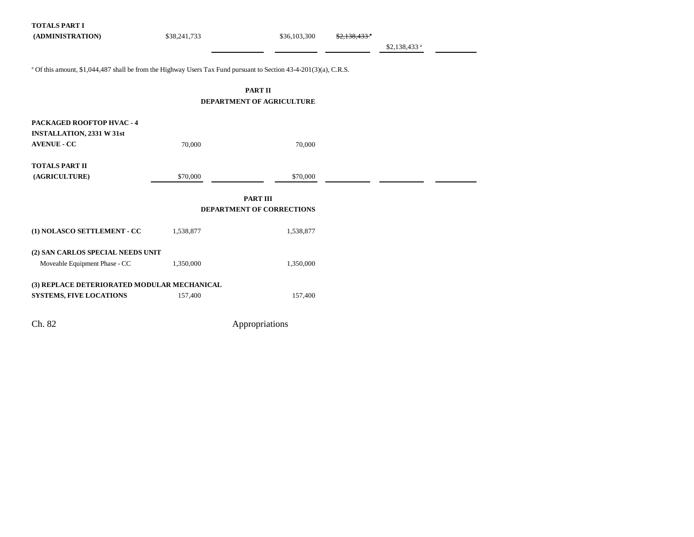| <b>TOTALS PART I</b><br>(ADMINISTRATION)                                                                                     | \$38,241,733 | \$36,103,300              |  | \$2,138,433 <sup>a</sup> |  |  |  |  |
|------------------------------------------------------------------------------------------------------------------------------|--------------|---------------------------|--|--------------------------|--|--|--|--|
| <sup>a</sup> Of this amount, \$1,044,487 shall be from the Highway Users Tax Fund pursuant to Section 43-4-201(3)(a), C.R.S. |              |                           |  |                          |  |  |  |  |
| <b>PART II</b><br><b>DEPARTMENT OF AGRICULTURE</b>                                                                           |              |                           |  |                          |  |  |  |  |
|                                                                                                                              |              |                           |  |                          |  |  |  |  |
| PACKAGED ROOFTOP HVAC - 4<br><b>INSTALLATION, 2331 W 31st</b>                                                                |              |                           |  |                          |  |  |  |  |
| <b>AVENUE - CC</b>                                                                                                           | 70,000       | 70,000                    |  |                          |  |  |  |  |
| <b>TOTALS PART II</b><br>(AGRICULTURE)                                                                                       | \$70,000     | \$70,000                  |  |                          |  |  |  |  |
|                                                                                                                              |              | <b>PART III</b>           |  |                          |  |  |  |  |
|                                                                                                                              |              | DEPARTMENT OF CORRECTIONS |  |                          |  |  |  |  |
| (1) NOLASCO SETTLEMENT - CC                                                                                                  | 1,538,877    | 1,538,877                 |  |                          |  |  |  |  |
| (2) SAN CARLOS SPECIAL NEEDS UNIT                                                                                            |              |                           |  |                          |  |  |  |  |
| Moveable Equipment Phase - CC                                                                                                | 1,350,000    | 1,350,000                 |  |                          |  |  |  |  |
| (3) REPLACE DETERIORATED MODULAR MECHANICAL<br><b>SYSTEMS, FIVE LOCATIONS</b>                                                | 157,400      | 157,400                   |  |                          |  |  |  |  |
| Ch. 82                                                                                                                       |              | Appropriations            |  |                          |  |  |  |  |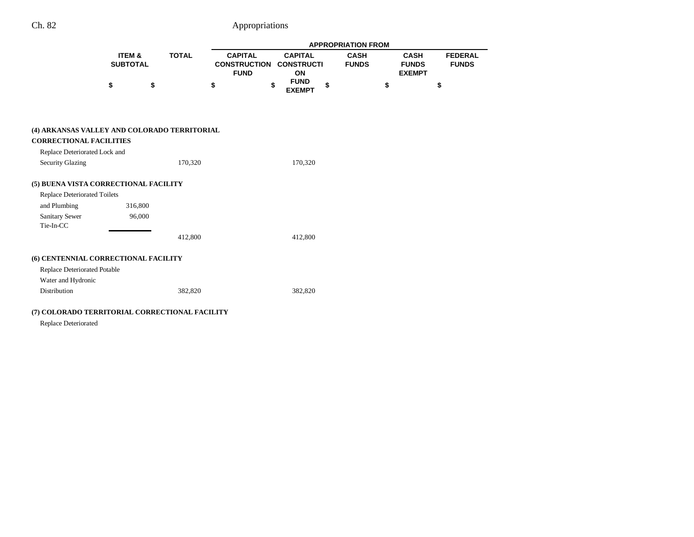|                                                                 |                           |              |                                                      |                                           | <b>APPROPRIATION FROM</b>   |                                              |                                |
|-----------------------------------------------------------------|---------------------------|--------------|------------------------------------------------------|-------------------------------------------|-----------------------------|----------------------------------------------|--------------------------------|
|                                                                 | ITEM &<br><b>SUBTOTAL</b> | <b>TOTAL</b> | <b>CAPITAL</b><br><b>CONSTRUCTION</b><br><b>FUND</b> | <b>CAPITAL</b><br><b>CONSTRUCTI</b><br>ON | <b>CASH</b><br><b>FUNDS</b> | <b>CASH</b><br><b>FUNDS</b><br><b>EXEMPT</b> | <b>FEDERAL</b><br><b>FUNDS</b> |
|                                                                 | \$                        | \$           | \$                                                   | <b>FUND</b><br>\$<br><b>EXEMPT</b>        | \$                          | \$                                           | \$                             |
| (4) ARKANSAS VALLEY AND COLORADO TERRITORIAL                    |                           |              |                                                      |                                           |                             |                                              |                                |
| <b>CORRECTIONAL FACILITIES</b><br>Replace Deteriorated Lock and |                           |              |                                                      |                                           |                             |                                              |                                |
| <b>Security Glazing</b>                                         |                           | 170,320      |                                                      | 170,320                                   |                             |                                              |                                |
| (5) BUENA VISTA CORRECTIONAL FACILITY                           |                           |              |                                                      |                                           |                             |                                              |                                |
| <b>Replace Deteriorated Toilets</b>                             |                           |              |                                                      |                                           |                             |                                              |                                |
| and Plumbing                                                    | 316,800                   |              |                                                      |                                           |                             |                                              |                                |
| <b>Sanitary Sewer</b><br>Tie-In-CC                              | 96,000                    |              |                                                      |                                           |                             |                                              |                                |
|                                                                 |                           | 412,800      |                                                      | 412,800                                   |                             |                                              |                                |
| (6) CENTENNIAL CORRECTIONAL FACILITY                            |                           |              |                                                      |                                           |                             |                                              |                                |
| <b>Replace Deteriorated Potable</b>                             |                           |              |                                                      |                                           |                             |                                              |                                |
| Water and Hydronic                                              |                           |              |                                                      |                                           |                             |                                              |                                |
| Distribution                                                    |                           | 382,820      |                                                      | 382,820                                   |                             |                                              |                                |

Replace Deteriorated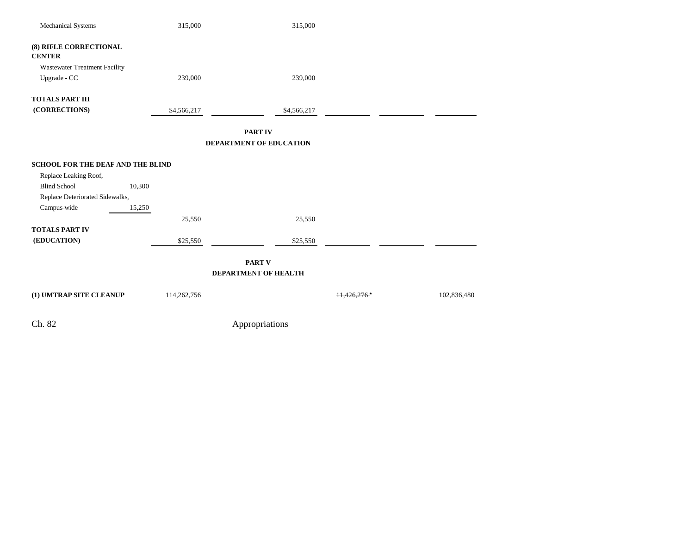| Mechanical Systems                      | 315,000     | 315,000                        |                     |             |
|-----------------------------------------|-------------|--------------------------------|---------------------|-------------|
| (8) RIFLE CORRECTIONAL<br><b>CENTER</b> |             |                                |                     |             |
| Wastewater Treatment Facility           |             |                                |                     |             |
| Upgrade - CC                            | 239,000     | 239,000                        |                     |             |
| <b>TOTALS PART III</b>                  |             |                                |                     |             |
| (CORRECTIONS)                           | \$4,566,217 | \$4,566,217                    |                     |             |
|                                         |             | <b>PART IV</b>                 |                     |             |
|                                         |             | <b>DEPARTMENT OF EDUCATION</b> |                     |             |
| SCHOOL FOR THE DEAF AND THE BLIND       |             |                                |                     |             |
| Replace Leaking Roof,                   |             |                                |                     |             |
| <b>Blind School</b>                     | 10,300      |                                |                     |             |
| Replace Deteriorated Sidewalks,         |             |                                |                     |             |
| Campus-wide                             | 15,250      |                                |                     |             |
|                                         | 25,550      | 25,550                         |                     |             |
| <b>TOTALS PART IV</b>                   |             |                                |                     |             |
| (EDUCATION)                             | \$25,550    | \$25,550                       |                     |             |
|                                         |             |                                |                     |             |
|                                         |             | <b>PART V</b>                  |                     |             |
|                                         |             | DEPARTMENT OF HEALTH           |                     |             |
| (1) UMTRAP SITE CLEANUP                 | 114,262,756 |                                | <del>11,426.2</del> | 102,836,480 |
| Ch. 82                                  |             | Appropriations                 |                     |             |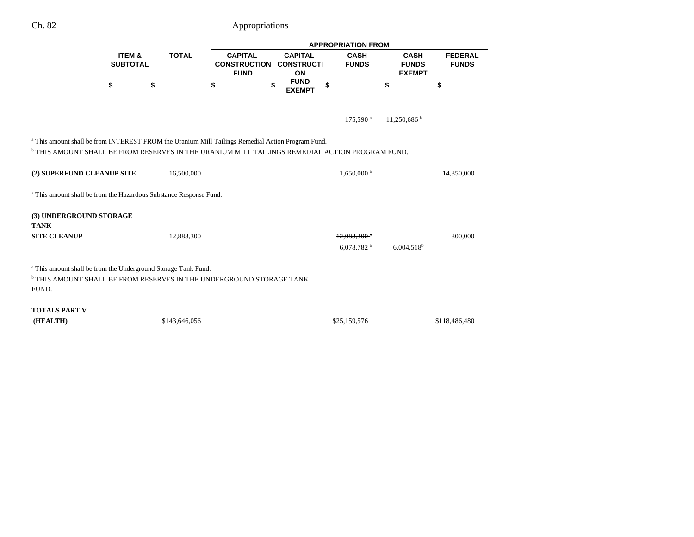|                                                                                                                                                                                                               |                                      |               |                                                      |                                           | <b>APPROPRIATION FROM</b>                  |                                              |                                |  |
|---------------------------------------------------------------------------------------------------------------------------------------------------------------------------------------------------------------|--------------------------------------|---------------|------------------------------------------------------|-------------------------------------------|--------------------------------------------|----------------------------------------------|--------------------------------|--|
|                                                                                                                                                                                                               | <b>ITEM &amp;</b><br><b>SUBTOTAL</b> | <b>TOTAL</b>  | <b>CAPITAL</b><br><b>CONSTRUCTION</b><br><b>FUND</b> | <b>CAPITAL</b><br><b>CONSTRUCTI</b><br>ON | <b>CASH</b><br><b>FUNDS</b>                | <b>CASH</b><br><b>FUNDS</b><br><b>EXEMPT</b> | <b>FEDERAL</b><br><b>FUNDS</b> |  |
|                                                                                                                                                                                                               | \$                                   | \$            | \$                                                   | \$<br><b>FUND</b><br><b>EXEMPT</b>        | \$                                         | \$                                           | \$                             |  |
|                                                                                                                                                                                                               |                                      |               |                                                      |                                           | 175,590 <sup>a</sup>                       | 11,250,686                                   |                                |  |
| <sup>a</sup> This amount shall be from INTEREST FROM the Uranium Mill Tailings Remedial Action Program Fund.<br>THIS AMOUNT SHALL BE FROM RESERVES IN THE URANIUM MILL TAILINGS REMEDIAL ACTION PROGRAM FUND. |                                      |               |                                                      |                                           |                                            |                                              |                                |  |
| (2) SUPERFUND CLEANUP SITE                                                                                                                                                                                    |                                      | 16,500,000    |                                                      |                                           | $1,650,000$ <sup>a</sup>                   |                                              | 14,850,000                     |  |
| <sup>a</sup> This amount shall be from the Hazardous Substance Response Fund.                                                                                                                                 |                                      |               |                                                      |                                           |                                            |                                              |                                |  |
| (3) UNDERGROUND STORAGE<br><b>TANK</b>                                                                                                                                                                        |                                      |               |                                                      |                                           |                                            |                                              |                                |  |
| <b>SITE CLEANUP</b>                                                                                                                                                                                           |                                      | 12,883,300    |                                                      |                                           | $12,083,300$ <sup>*</sup><br>6,078,782 $a$ | $6,004,518$ <sup>b</sup>                     | 800,000                        |  |
| <sup>a</sup> This amount shall be from the Underground Storage Tank Fund.<br>$^{\rm b}$ THIS AMOUNT SHALL BE FROM RESERVES IN THE UNDERGROUND STORAGE TANK<br>FUND.                                           |                                      |               |                                                      |                                           |                                            |                                              |                                |  |
| <b>TOTALS PART V</b><br>(HEALTH)                                                                                                                                                                              |                                      | \$143,646,056 |                                                      |                                           | 325.159.576                                |                                              | \$118,486,480                  |  |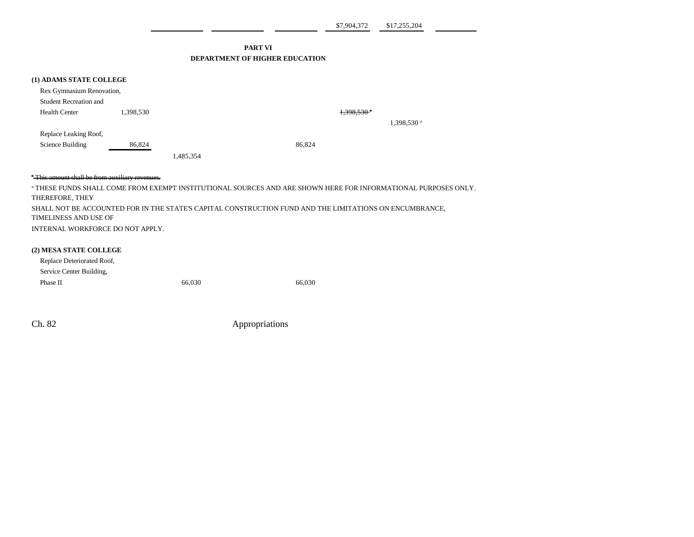\$7,904,372 \$17,255,204

### **PART VI DEPARTMENT OF HIGHER EDUCATION**

| (1) ADAMS STATE COLLEGE       |           |           |        |                          |                          |
|-------------------------------|-----------|-----------|--------|--------------------------|--------------------------|
| Rex Gymnasium Renovation,     |           |           |        |                          |                          |
| <b>Student Recreation and</b> |           |           |        |                          |                          |
| <b>Health Center</b>          | 1,398,530 |           |        | $1,398,530$ <sup>a</sup> |                          |
|                               |           |           |        |                          | $1,398,530$ <sup>a</sup> |
| Replace Leaking Roof,         |           |           |        |                          |                          |
| Science Building              | 86,824    |           | 86,824 |                          |                          |
|                               |           | 1,485,354 |        |                          |                          |

### \* This amount shall be from auxiliary revenues.

a THESE FUNDS SHALL COME FROM EXEMPT INSTITUTIONAL SOURCES AND ARE SHOWN HERE FOR INFORMATIONAL PURPOSES ONLY. THEREFORE, THEY SHALL NOT BE ACCOUNTED FOR IN THE STATE'S CAPITAL CONSTRUCTION FUND AND THE LIMITATIONS ON ENCUMBRANCE, TIMELINESS AND USE OF INTERNAL WORKFORCE DO NOT APPLY.

### **(2) MESA STATE COLLEGE**

| Replace Deteriorated Roof, |        |        |
|----------------------------|--------|--------|
| Service Center Building,   |        |        |
| Phase II                   | 66,030 | 66.030 |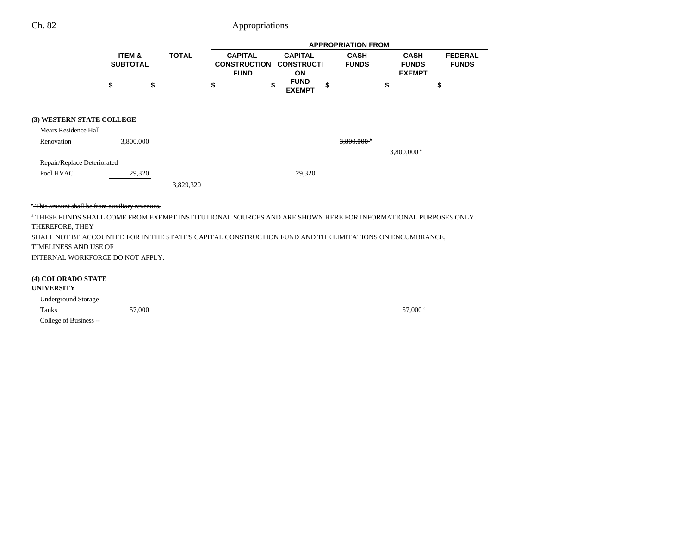|                                  |                           |        |              |    |                                                      |  |                                           |    | <b>APPROPRIATION FROM</b>   |                                              |               |                                |
|----------------------------------|---------------------------|--------|--------------|----|------------------------------------------------------|--|-------------------------------------------|----|-----------------------------|----------------------------------------------|---------------|--------------------------------|
|                                  | ITEM &<br><b>SUBTOTAL</b> |        | <b>TOTAL</b> |    | <b>CAPITAL</b><br><b>CONSTRUCTION</b><br><b>FUND</b> |  | <b>CAPITAL</b><br><b>CONSTRUCTI</b><br>ON |    | <b>CASH</b><br><b>FUNDS</b> | <b>CASH</b><br><b>FUNDS</b><br><b>EXEMPT</b> |               | <b>FEDERAL</b><br><b>FUNDS</b> |
|                                  | \$                        | \$     |              | \$ | \$                                                   |  | <b>FUND</b><br><b>EXEMPT</b>              | \$ |                             | \$                                           |               | \$                             |
| <b>(3) WESTERN STATE COLLEGE</b> |                           |        |              |    |                                                      |  |                                           |    |                             |                                              |               |                                |
| Mears Residence Hall             |                           |        |              |    |                                                      |  |                                           |    |                             |                                              |               |                                |
| Renovation                       | 3,800,000                 |        |              |    |                                                      |  |                                           |    | $3,800,000$ <sup>a</sup>    |                                              | 3,800,000 $a$ |                                |
| Repair/Replace Deteriorated      |                           |        |              |    |                                                      |  |                                           |    |                             |                                              |               |                                |
| Pool HVAC                        |                           | 29,320 |              |    |                                                      |  | 29,320                                    |    |                             |                                              |               |                                |
|                                  |                           |        | 3,829,320    |    |                                                      |  |                                           |    |                             |                                              |               |                                |

### \* This amount shall be from auxiliary revenues.

a THESE FUNDS SHALL COME FROM EXEMPT INSTITUTIONAL SOURCES AND ARE SHOWN HERE FOR INFORMATIONAL PURPOSES ONLY. THEREFORE, THEY SHALL NOT BE ACCOUNTED FOR IN THE STATE'S CAPITAL CONSTRUCTION FUND AND THE LIMITATIONS ON ENCUMBRANCE,

TIMELINESS AND USE OF

INTERNAL WORKFORCE DO NOT APPLY.

### **(4) COLORADO STATE**

#### **UNIVERSITY**

| <b>Underground Storage</b> |        |                     |
|----------------------------|--------|---------------------|
| Tanks                      | 57,000 | 57,000 <sup>a</sup> |
| College of Business --     |        |                     |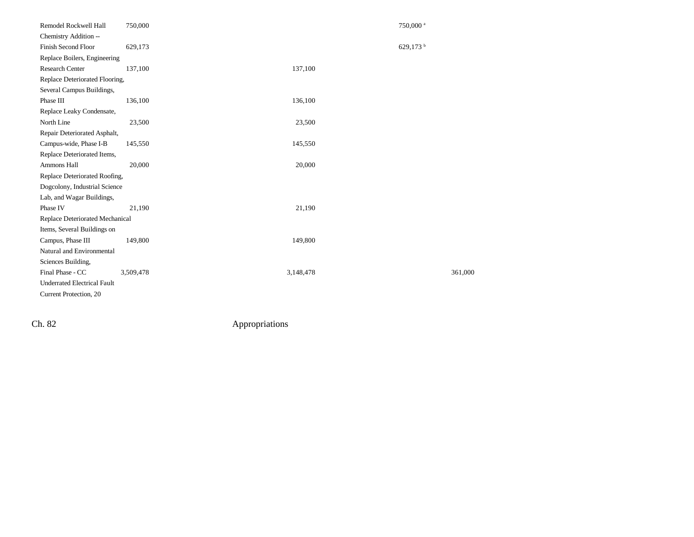| Remodel Rockwell Hall              | 750,000   |           | 750,000 <sup>a</sup> |
|------------------------------------|-----------|-----------|----------------------|
| Chemistry Addition --              |           |           |                      |
| Finish Second Floor                | 629,173   |           | 629,173 $^{\rm b}$   |
| Replace Boilers, Engineering       |           |           |                      |
| Research Center                    | 137,100   | 137,100   |                      |
| Replace Deteriorated Flooring,     |           |           |                      |
| Several Campus Buildings,          |           |           |                      |
| Phase III                          | 136,100   | 136,100   |                      |
| Replace Leaky Condensate,          |           |           |                      |
| North Line                         | 23,500    | 23,500    |                      |
| Repair Deteriorated Asphalt,       |           |           |                      |
| Campus-wide, Phase I-B             | 145,550   | 145,550   |                      |
| Replace Deteriorated Items,        |           |           |                      |
| Ammons Hall                        | 20,000    | 20,000    |                      |
| Replace Deteriorated Roofing,      |           |           |                      |
| Dogcolony, Industrial Science      |           |           |                      |
| Lab, and Wagar Buildings,          |           |           |                      |
| Phase IV                           | 21,190    | 21,190    |                      |
| Replace Deteriorated Mechanical    |           |           |                      |
| Items, Several Buildings on        |           |           |                      |
| Campus, Phase III                  | 149,800   | 149,800   |                      |
| Natural and Environmental          |           |           |                      |
| Sciences Building,                 |           |           |                      |
| Final Phase - CC                   | 3,509,478 | 3,148,478 | 361,000              |
| <b>Underrated Electrical Fault</b> |           |           |                      |
| Current Protection, 20             |           |           |                      |
|                                    |           |           |                      |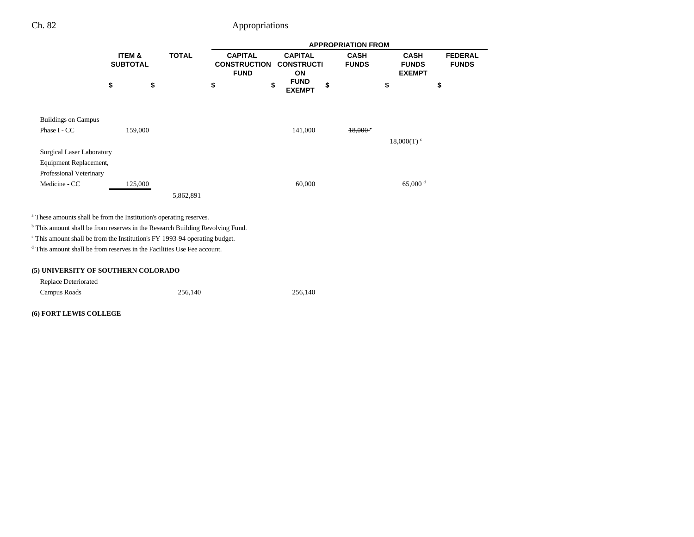|                                                                                          |                           |              |                                                      |    |                                           | <b>APPROPRIATION FROM</b>   |                          |                                              |                                |
|------------------------------------------------------------------------------------------|---------------------------|--------------|------------------------------------------------------|----|-------------------------------------------|-----------------------------|--------------------------|----------------------------------------------|--------------------------------|
|                                                                                          | ITEM &<br><b>SUBTOTAL</b> | <b>TOTAL</b> | <b>CAPITAL</b><br><b>CONSTRUCTION</b><br><b>FUND</b> |    | <b>CAPITAL</b><br><b>CONSTRUCTI</b><br>ON | <b>CASH</b><br><b>FUNDS</b> |                          | <b>CASH</b><br><b>FUNDS</b><br><b>EXEMPT</b> | <b>FEDERAL</b><br><b>FUNDS</b> |
|                                                                                          | \$<br>\$                  |              | \$                                                   | \$ | <b>FUND</b><br><b>EXEMPT</b>              | \$                          | \$                       |                                              | \$                             |
| <b>Buildings on Campus</b>                                                               |                           |              |                                                      |    |                                           |                             |                          |                                              |                                |
| Phase I - CC                                                                             | 159,000                   |              |                                                      |    | 141,000                                   | $18.000*$                   |                          |                                              |                                |
|                                                                                          |                           |              |                                                      |    |                                           |                             | $18,000(T)$ <sup>c</sup> |                                              |                                |
| <b>Surgical Laser Laboratory</b>                                                         |                           |              |                                                      |    |                                           |                             |                          |                                              |                                |
| Equipment Replacement,                                                                   |                           |              |                                                      |    |                                           |                             |                          |                                              |                                |
| Professional Veterinary                                                                  |                           |              |                                                      |    |                                           |                             |                          |                                              |                                |
| Medicine - CC                                                                            | 125,000                   |              |                                                      |    | 60,000                                    |                             |                          | 65,000 $^{\rm d}$                            |                                |
|                                                                                          |                           | 5,862,891    |                                                      |    |                                           |                             |                          |                                              |                                |
| <sup>a</sup> These amounts shall be from the Institution's operating reserves.           |                           |              |                                                      |    |                                           |                             |                          |                                              |                                |
| <sup>b</sup> This amount shall be from reserves in the Research Building Revolving Fund. |                           |              |                                                      |    |                                           |                             |                          |                                              |                                |
| <sup>c</sup> This amount shall be from the Institution's FY 1993-94 operating budget.    |                           |              |                                                      |    |                                           |                             |                          |                                              |                                |
| <sup>d</sup> This amount shall be from reserves in the Facilities Use Fee account.       |                           |              |                                                      |    |                                           |                             |                          |                                              |                                |
| (5) UNIVERSITY OF SOUTHERN COLORADO                                                      |                           |              |                                                      |    |                                           |                             |                          |                                              |                                |
| <b>Replace Deteriorated</b>                                                              |                           |              |                                                      |    |                                           |                             |                          |                                              |                                |
| Campus Roads                                                                             |                           | 256,140      |                                                      |    | 256,140                                   |                             |                          |                                              |                                |
| (6) FORT LEWIS COLLEGE                                                                   |                           |              |                                                      |    |                                           |                             |                          |                                              |                                |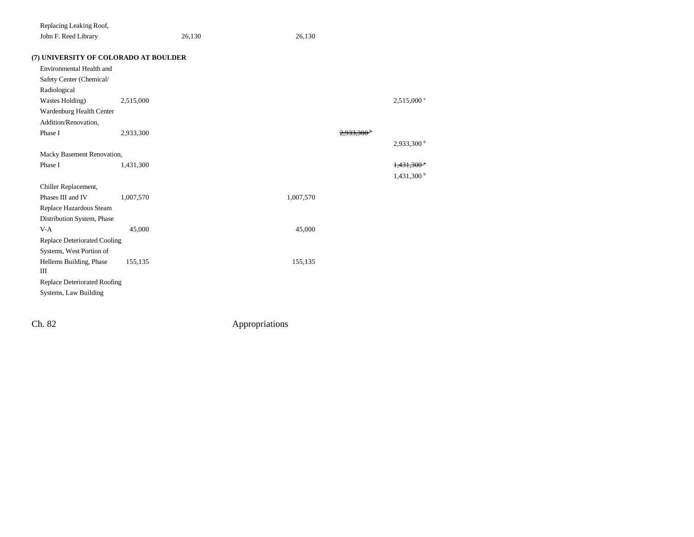| Replacing Leaking Roof,      |                                       |        |           |           |                          |
|------------------------------|---------------------------------------|--------|-----------|-----------|--------------------------|
| John F. Reed Library         |                                       | 26,130 | 26,130    |           |                          |
|                              | (7) UNIVERSITY OF COLORADO AT BOULDER |        |           |           |                          |
| Environmental Health and     |                                       |        |           |           |                          |
| Safety Center (Chemical/     |                                       |        |           |           |                          |
| Radiological                 |                                       |        |           |           |                          |
| Wastes Holding)              | 2,515,000                             |        |           |           | 2,515,000 <sup>a</sup>   |
| Wardenburg Health Center     |                                       |        |           |           |                          |
| Addition/Renovation,         |                                       |        |           |           |                          |
| Phase I                      | 2,933,300                             |        |           | 2.933.300 |                          |
|                              |                                       |        |           |           | 2,933,300 b              |
| Macky Basement Renovation,   |                                       |        |           |           |                          |
| Phase I                      | 1,431,300                             |        |           |           | $1,431,300$ <sup>e</sup> |
|                              |                                       |        |           |           | 1,431,300 <sup>b</sup>   |
| Chiller Replacement,         |                                       |        |           |           |                          |
| Phases III and IV            | 1,007,570                             |        | 1,007,570 |           |                          |
| Replace Hazardous Steam      |                                       |        |           |           |                          |
| Distribution System, Phase   |                                       |        |           |           |                          |
| $V-A$                        | 45,000                                |        | 45,000    |           |                          |
| Replace Deteriorated Cooling |                                       |        |           |           |                          |
| Systems, West Portion of     |                                       |        |           |           |                          |
| Hellems Building, Phase      | 155,135                               |        | 155,135   |           |                          |
| Ш                            |                                       |        |           |           |                          |
| Replace Deteriorated Roofing |                                       |        |           |           |                          |
| Systems, Law Building        |                                       |        |           |           |                          |
|                              |                                       |        |           |           |                          |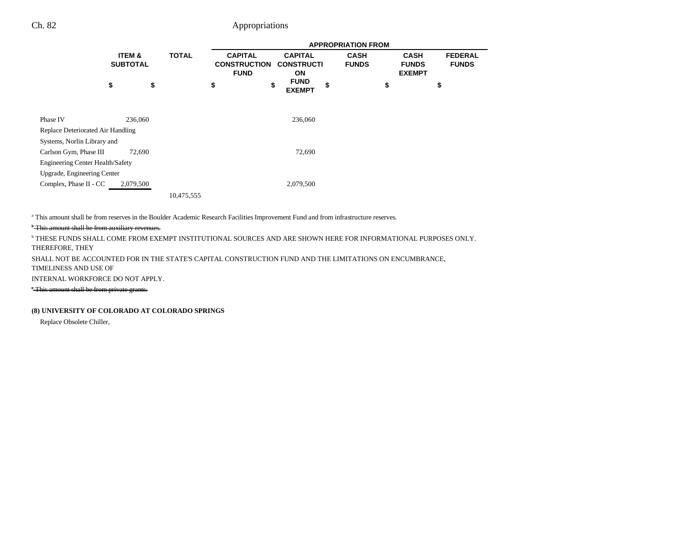and the

|                                         |                           |              |                                                      |                                                  | <b>APPROPRIATION FROM</b>   |                                              |                                |
|-----------------------------------------|---------------------------|--------------|------------------------------------------------------|--------------------------------------------------|-----------------------------|----------------------------------------------|--------------------------------|
|                                         | ITEM &<br><b>SUBTOTAL</b> | <b>TOTAL</b> | <b>CAPITAL</b><br><b>CONSTRUCTION</b><br><b>FUND</b> | <b>CAPITAL</b><br><b>CONSTRUCTI</b><br><b>ON</b> | <b>CASH</b><br><b>FUNDS</b> | <b>CASH</b><br><b>FUNDS</b><br><b>EXEMPT</b> | <b>FEDERAL</b><br><b>FUNDS</b> |
|                                         | \$<br>\$                  |              | \$<br>\$                                             | <b>FUND</b><br><b>EXEMPT</b>                     | \$                          | \$                                           | \$                             |
| Phase IV                                | 236,060                   |              |                                                      | 236,060                                          |                             |                                              |                                |
| Replace Deteriorated Air Handling       |                           |              |                                                      |                                                  |                             |                                              |                                |
| Systems, Norlin Library and             |                           |              |                                                      |                                                  |                             |                                              |                                |
| Carlson Gym, Phase III                  | 72,690                    |              |                                                      | 72,690                                           |                             |                                              |                                |
| <b>Engineering Center Health/Safety</b> |                           |              |                                                      |                                                  |                             |                                              |                                |
| Upgrade, Engineering Center             |                           |              |                                                      |                                                  |                             |                                              |                                |
| Complex, Phase II - CC                  | 2,079,500                 |              |                                                      | 2,079,500                                        |                             |                                              |                                |
|                                         |                           | 10,475,555   |                                                      |                                                  |                             |                                              |                                |

a This amount shall be from reserves in the Boulder Academic Research Facilities Improvement Fund and from infrastructure reserves.

### <sup>b</sup> This amount shall be from auxiliary revenues.

b THESE FUNDS SHALL COME FROM EXEMPT INSTITUTIONAL SOURCES AND ARE SHOWN HERE FOR INFORMATIONAL PURPOSES ONLY.

THEREFORE, THEY

SHALL NOT BE ACCOUNTED FOR IN THE STATE'S CAPITAL CONSTRUCTION FUND AND THE LIMITATIONS ON ENCUMBRANCE,

TIMELINESS AND USE OF

INTERNAL WORKFORCE DO NOT APPLY.

c This amount shall be from private grants.

### **(8) UNIVERSITY OF COLORADO AT COLORADO SPRINGS**

Replace Obsolete Chiller,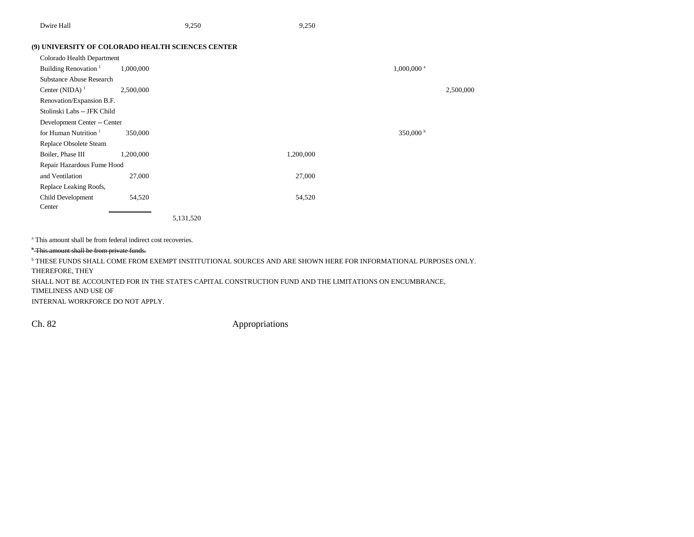| Dwire Hall | 9.250 | 9.250 |
|------------|-------|-------|
|------------|-------|-------|

### **(9) UNIVERSITY OF COLORADO HEALTH SCIENCES CENTER**

| Colorado Health Department       |           |           |           |                          |
|----------------------------------|-----------|-----------|-----------|--------------------------|
| Building Renovation <sup>1</sup> | 1,000,000 |           |           | $1,000,000$ <sup>a</sup> |
| <b>Substance Abuse Research</b>  |           |           |           |                          |
| Center (NIDA) $1$                | 2,500,000 |           |           | 2,500,000                |
| Renovation/Expansion B.F.        |           |           |           |                          |
| Stolinski Labs -- JFK Child      |           |           |           |                          |
| Development Center -- Center     |           |           |           |                          |
| for Human Nutrition $1$          | 350,000   |           |           | 350,000 $^{\rm b}$       |
| Replace Obsolete Steam           |           |           |           |                          |
| Boiler, Phase III                | 1,200,000 |           | 1,200,000 |                          |
| Repair Hazardous Fume Hood       |           |           |           |                          |
| and Ventilation                  | 27,000    |           | 27,000    |                          |
| Replace Leaking Roofs,           |           |           |           |                          |
| Child Development                | 54,520    |           | 54,520    |                          |
| Center                           |           |           |           |                          |
|                                  |           | 5,131,520 |           |                          |

a This amount shall be from federal indirect cost recoveries.

### <sup>b</sup> This amount shall be from private funds.

b THESE FUNDS SHALL COME FROM EXEMPT INSTITUTIONAL SOURCES AND ARE SHOWN HERE FOR INFORMATIONAL PURPOSES ONLY. THEREFORE, THEY SHALL NOT BE ACCOUNTED FOR IN THE STATE'S CAPITAL CONSTRUCTION FUND AND THE LIMITATIONS ON ENCUMBRANCE, TIMELINESS AND USE OF

INTERNAL WORKFORCE DO NOT APPLY.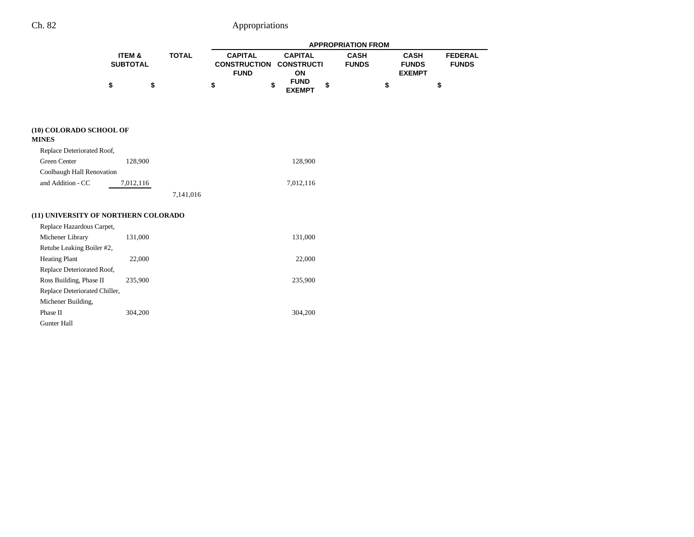|                                         |                           |              |                                                      |                                           | <b>APPROPRIATION FROM</b>   |                                              |                                |
|-----------------------------------------|---------------------------|--------------|------------------------------------------------------|-------------------------------------------|-----------------------------|----------------------------------------------|--------------------------------|
|                                         | ITEM &<br><b>SUBTOTAL</b> | <b>TOTAL</b> | <b>CAPITAL</b><br><b>CONSTRUCTION</b><br><b>FUND</b> | <b>CAPITAL</b><br><b>CONSTRUCTI</b><br>ON | <b>CASH</b><br><b>FUNDS</b> | <b>CASH</b><br><b>FUNDS</b><br><b>EXEMPT</b> | <b>FEDERAL</b><br><b>FUNDS</b> |
|                                         | \$<br>\$                  |              | \$                                                   | <b>FUND</b><br>\$<br>\$<br><b>EXEMPT</b>  |                             | \$                                           | \$                             |
| (10) COLORADO SCHOOL OF<br><b>MINES</b> |                           |              |                                                      |                                           |                             |                                              |                                |
| Replace Deteriorated Roof,              |                           |              |                                                      |                                           |                             |                                              |                                |
| Green Center                            | 128,900                   |              |                                                      | 128,900                                   |                             |                                              |                                |
| Coolbaugh Hall Renovation               |                           |              |                                                      |                                           |                             |                                              |                                |
| and Addition - CC                       | 7,012,116                 |              |                                                      | 7,012,116                                 |                             |                                              |                                |
|                                         |                           | 7,141,016    |                                                      |                                           |                             |                                              |                                |
| (11) UNIVERSITY OF NORTHERN COLORADO    |                           |              |                                                      |                                           |                             |                                              |                                |
| Replace Hazardous Carpet,               |                           |              |                                                      |                                           |                             |                                              |                                |
| Michener Library                        | 131,000                   |              |                                                      | 131,000                                   |                             |                                              |                                |
| Retube Leaking Boiler #2,               |                           |              |                                                      |                                           |                             |                                              |                                |
| <b>Heating Plant</b>                    | 22,000                    |              |                                                      | 22,000                                    |                             |                                              |                                |
| Replace Deteriorated Roof,              |                           |              |                                                      |                                           |                             |                                              |                                |
| Ross Building, Phase II                 | 235,900                   |              |                                                      | 235,900                                   |                             |                                              |                                |
| Replace Deteriorated Chiller,           |                           |              |                                                      |                                           |                             |                                              |                                |
| Michener Building,                      |                           |              |                                                      |                                           |                             |                                              |                                |
| Phase II                                | 304,200                   |              |                                                      | 304,200                                   |                             |                                              |                                |
| <b>Gunter Hall</b>                      |                           |              |                                                      |                                           |                             |                                              |                                |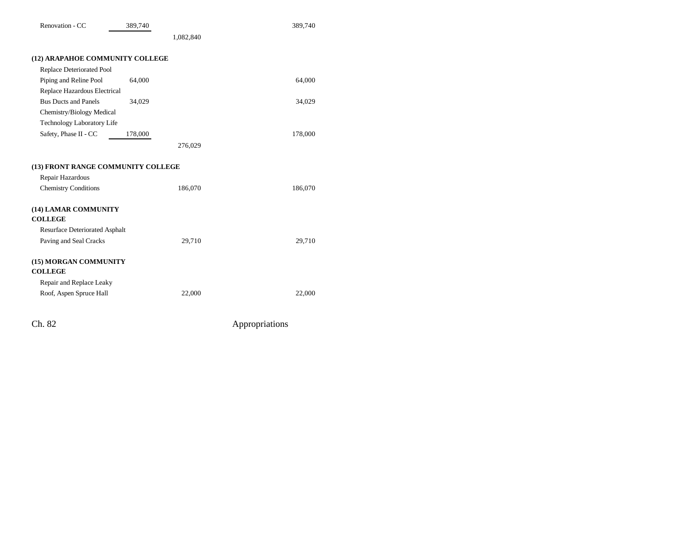| Renovation - CC                        | 389,740 |           | 389,740 |
|----------------------------------------|---------|-----------|---------|
|                                        |         | 1,082,840 |         |
| (12) ARAPAHOE COMMUNITY COLLEGE        |         |           |         |
| <b>Replace Deteriorated Pool</b>       |         |           |         |
| Piping and Reline Pool                 | 64,000  |           | 64,000  |
| Replace Hazardous Electrical           |         |           |         |
| <b>Bus Ducts and Panels</b>            | 34,029  |           | 34,029  |
| Chemistry/Biology Medical              |         |           |         |
| <b>Technology Laboratory Life</b>      |         |           |         |
| Safety, Phase II - CC                  | 178,000 |           | 178,000 |
|                                        |         | 276,029   |         |
| (13) FRONT RANGE COMMUNITY COLLEGE     |         |           |         |
| Repair Hazardous                       |         |           |         |
| <b>Chemistry Conditions</b>            |         | 186,070   | 186,070 |
| (14) LAMAR COMMUNITY<br><b>COLLEGE</b> |         |           |         |
| Resurface Deteriorated Asphalt         |         |           |         |
| Paving and Seal Cracks                 |         | 29,710    | 29,710  |
| (15) MORGAN COMMUNITY                  |         |           |         |
| <b>COLLEGE</b>                         |         |           |         |
| Repair and Replace Leaky               |         |           |         |
| Roof, Aspen Spruce Hall                |         | 22,000    | 22,000  |
|                                        |         |           |         |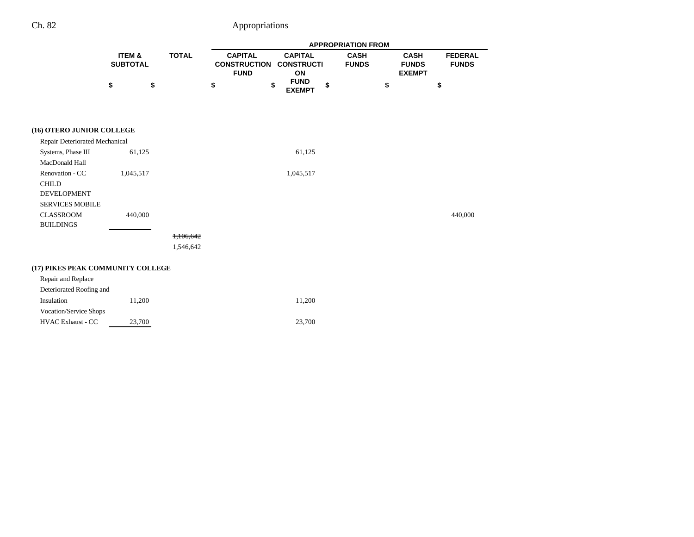|                                                                                 |                           |              |                                                      |                                           | <b>APPROPRIATION FROM</b>   |                                                                                |
|---------------------------------------------------------------------------------|---------------------------|--------------|------------------------------------------------------|-------------------------------------------|-----------------------------|--------------------------------------------------------------------------------|
|                                                                                 | ITEM &<br><b>SUBTOTAL</b> | <b>TOTAL</b> | <b>CAPITAL</b><br><b>CONSTRUCTION</b><br><b>FUND</b> | <b>CAPITAL</b><br><b>CONSTRUCTI</b><br>ON | <b>CASH</b><br><b>FUNDS</b> | <b>CASH</b><br><b>FEDERAL</b><br><b>FUNDS</b><br><b>FUNDS</b><br><b>EXEMPT</b> |
|                                                                                 | \$<br>\$                  |              | \$                                                   | <b>FUND</b><br>\$<br>\$<br><b>EXEMPT</b>  | \$                          | \$                                                                             |
| (16) OTERO JUNIOR COLLEGE                                                       |                           |              |                                                      |                                           |                             |                                                                                |
| Repair Deteriorated Mechanical                                                  |                           |              |                                                      |                                           |                             |                                                                                |
| Systems, Phase III                                                              | 61,125                    |              |                                                      | 61,125                                    |                             |                                                                                |
| MacDonald Hall                                                                  |                           |              |                                                      |                                           |                             |                                                                                |
| Renovation - CC<br><b>CHILD</b><br><b>DEVELOPMENT</b><br><b>SERVICES MOBILE</b> | 1,045,517                 |              |                                                      | 1,045,517                                 |                             |                                                                                |
| <b>CLASSROOM</b><br><b>BUILDINGS</b>                                            | 440,000                   |              |                                                      |                                           |                             | 440,000                                                                        |
|                                                                                 |                           | 1,106,642    |                                                      |                                           |                             |                                                                                |
|                                                                                 |                           | 1,546,642    |                                                      |                                           |                             |                                                                                |
| (17) PIKES PEAK COMMUNITY COLLEGE                                               |                           |              |                                                      |                                           |                             |                                                                                |
| Repair and Replace                                                              |                           |              |                                                      |                                           |                             |                                                                                |
| Deteriorated Roofing and                                                        |                           |              |                                                      |                                           |                             |                                                                                |
| Insulation                                                                      | 11,200                    |              |                                                      | 11,200                                    |                             |                                                                                |
| Vocation/Service Shops                                                          |                           |              |                                                      |                                           |                             |                                                                                |
| <b>HVAC Exhaust - CC</b>                                                        | 23,700                    |              |                                                      | 23,700                                    |                             |                                                                                |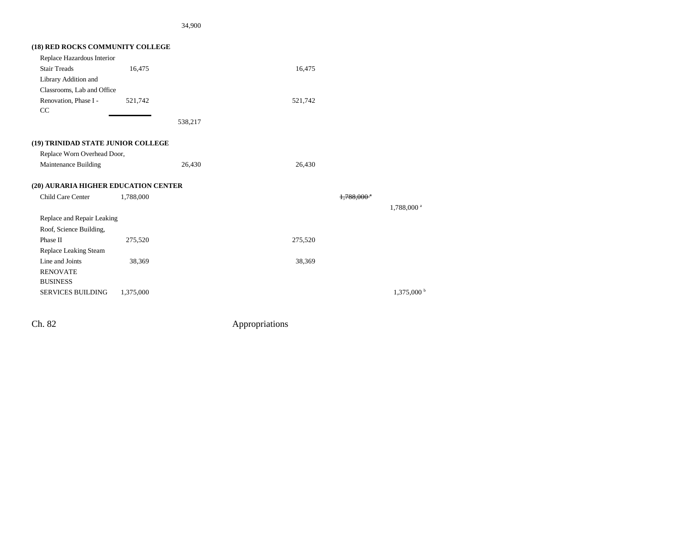34,900

| (18) RED ROCKS COMMUNITY COLLEGE     |           |         |         |              |                        |
|--------------------------------------|-----------|---------|---------|--------------|------------------------|
| Replace Hazardous Interior           |           |         |         |              |                        |
| <b>Stair Treads</b>                  | 16,475    |         | 16,475  |              |                        |
| Library Addition and                 |           |         |         |              |                        |
| Classrooms, Lab and Office           |           |         |         |              |                        |
| Renovation, Phase I -<br>CC          | 521,742   |         | 521,742 |              |                        |
|                                      |           | 538,217 |         |              |                        |
| (19) TRINIDAD STATE JUNIOR COLLEGE   |           |         |         |              |                        |
| Replace Worn Overhead Door,          |           |         |         |              |                        |
| Maintenance Building                 |           | 26,430  | 26,430  |              |                        |
| (20) AURARIA HIGHER EDUCATION CENTER |           |         |         |              |                        |
| Child Care Center                    | 1,788,000 |         |         | $1.788.000*$ |                        |
|                                      |           |         |         |              | 1,788,000 <sup>a</sup> |
| Replace and Repair Leaking           |           |         |         |              |                        |
| Roof, Science Building,              |           |         |         |              |                        |
| Phase II                             | 275,520   |         | 275,520 |              |                        |
| Replace Leaking Steam                |           |         |         |              |                        |
| Line and Joints                      | 38,369    |         | 38,369  |              |                        |
| <b>RENOVATE</b>                      |           |         |         |              |                        |
| <b>BUSINESS</b>                      |           |         |         |              |                        |
| <b>SERVICES BUILDING</b>             | 1,375,000 |         |         |              | $1,375,000$ b          |
|                                      |           |         |         |              |                        |

Ch. 82 Appropriations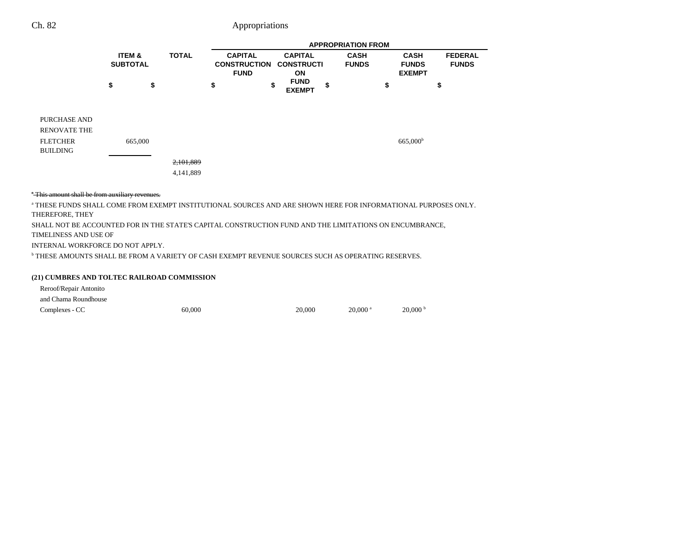|                                                                           |                                      |         |                        |                                                      |                                           | <b>APPROPRIATION FROM</b>   |                                              |                                |
|---------------------------------------------------------------------------|--------------------------------------|---------|------------------------|------------------------------------------------------|-------------------------------------------|-----------------------------|----------------------------------------------|--------------------------------|
|                                                                           | <b>ITEM &amp;</b><br><b>SUBTOTAL</b> |         | <b>TOTAL</b>           | <b>CAPITAL</b><br><b>CONSTRUCTION</b><br><b>FUND</b> | <b>CAPITAL</b><br><b>CONSTRUCTI</b><br>ON | <b>CASH</b><br><b>FUNDS</b> | <b>CASH</b><br><b>FUNDS</b><br><b>EXEMPT</b> | <b>FEDERAL</b><br><b>FUNDS</b> |
|                                                                           | \$                                   | \$      |                        | \$                                                   | \$<br><b>FUND</b><br><b>EXEMPT</b>        | \$                          | \$                                           | \$                             |
| PURCHASE AND<br><b>RENOVATE THE</b><br><b>FLETCHER</b><br><b>BUILDING</b> |                                      | 665,000 |                        |                                                      |                                           |                             | 665,000 <sup>b</sup>                         |                                |
|                                                                           |                                      |         | 2,101,889<br>4,141,889 |                                                      |                                           |                             |                                              |                                |

### \* This amount shall be from auxiliary revenues.

a THESE FUNDS SHALL COME FROM EXEMPT INSTITUTIONAL SOURCES AND ARE SHOWN HERE FOR INFORMATIONAL PURPOSES ONLY. THEREFORE, THEY SHALL NOT BE ACCOUNTED FOR IN THE STATE'S CAPITAL CONSTRUCTION FUND AND THE LIMITATIONS ON ENCUMBRANCE, TIMELINESS AND USE OF INTERNAL WORKFORCE DO NOT APPLY. b THESE AMOUNTS SHALL BE FROM A VARIETY OF CASH EXEMPT REVENUE SOURCES SUCH AS OPERATING RESERVES.

#### **(21) CUMBRES AND TOLTEC RAILROAD COMMISSION**

Reroof/Repair Antonito

and Chama Roundhouse

Complexes - CC 60,000 60,000 20,000 20,000 20,000 20,000 b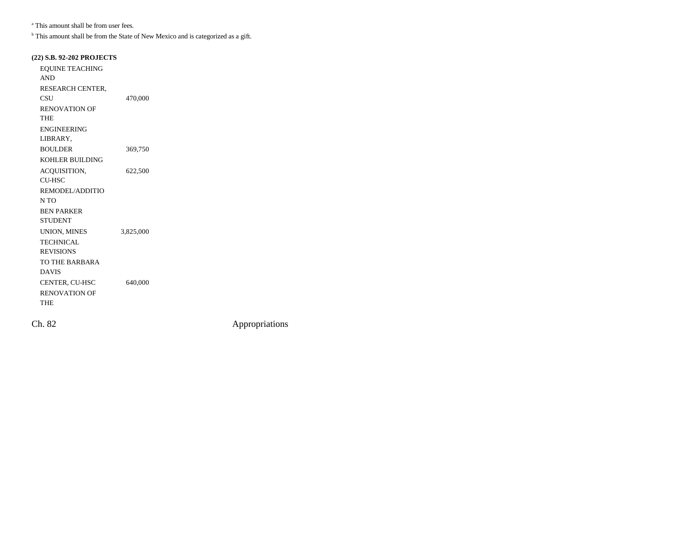a This amount shall be from user fees.

<sup>b</sup> This amount shall be from the State of New Mexico and is categorized as a gift.

### **(22) S.B. 92-202 PROJECTS**

| <b>EQUINE TEACHING</b> |           |  |
|------------------------|-----------|--|
| <b>AND</b>             |           |  |
| RESEARCH CENTER,       |           |  |
| CSU                    | 470,000   |  |
| <b>RENOVATION OF</b>   |           |  |
| THE                    |           |  |
| <b>ENGINEERING</b>     |           |  |
| LIBRARY,               |           |  |
| <b>BOULDER</b>         | 369,750   |  |
| <b>KOHLER BUILDING</b> |           |  |
| ACQUISITION,           | 622,500   |  |
| <b>CU-HSC</b>          |           |  |
| REMODEL/ADDITIO        |           |  |
| N TO                   |           |  |
| <b>BEN PARKER</b>      |           |  |
| <b>STUDENT</b>         |           |  |
| UNION, MINES           | 3,825,000 |  |
| <b>TECHNICAL</b>       |           |  |
| <b>REVISIONS</b>       |           |  |
| TO THE BARBARA         |           |  |
| <b>DAVIS</b>           |           |  |
| CENTER, CU-HSC         | 640,000   |  |
| <b>RENOVATION OF</b>   |           |  |
| THE                    |           |  |
|                        |           |  |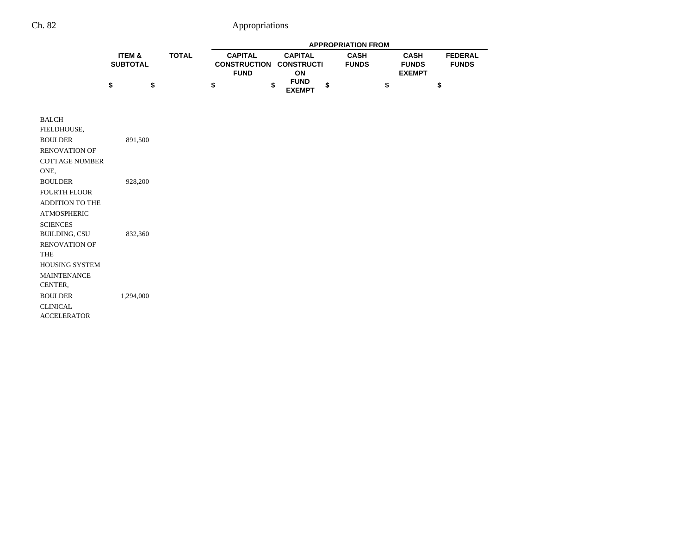|                                                                                                                      | ITEM &<br><b>TOTAL</b><br><b>SUBTOTAL</b> |    | <b>APPROPRIATION FROM</b> |                                                      |  |                                           |    |                             |                                              |    |                                |
|----------------------------------------------------------------------------------------------------------------------|-------------------------------------------|----|---------------------------|------------------------------------------------------|--|-------------------------------------------|----|-----------------------------|----------------------------------------------|----|--------------------------------|
|                                                                                                                      |                                           |    |                           | <b>CAPITAL</b><br><b>CONSTRUCTION</b><br><b>FUND</b> |  | <b>CAPITAL</b><br><b>CONSTRUCTI</b><br>ON |    | <b>CASH</b><br><b>FUNDS</b> | <b>CASH</b><br><b>FUNDS</b><br><b>EXEMPT</b> |    | <b>FEDERAL</b><br><b>FUNDS</b> |
|                                                                                                                      | \$                                        | \$ | \$                        | \$                                                   |  | <b>FUND</b><br><b>EXEMPT</b>              | \$ |                             | \$                                           | \$ |                                |
| <b>BALCH</b><br>FIELDHOUSE,<br><b>BOULDER</b><br><b>RENOVATION OF</b><br><b>COTTAGE NUMBER</b><br>ONE,               | 891,500                                   |    |                           |                                                      |  |                                           |    |                             |                                              |    |                                |
| <b>BOULDER</b><br><b>FOURTH FLOOR</b><br><b>ADDITION TO THE</b><br><b>ATMOSPHERIC</b><br><b>SCIENCES</b>             | 928,200                                   |    |                           |                                                      |  |                                           |    |                             |                                              |    |                                |
| <b>BUILDING, CSU</b><br><b>RENOVATION OF</b><br><b>THE</b><br><b>HOUSING SYSTEM</b><br><b>MAINTENANCE</b><br>CENTER, | 832,360                                   |    |                           |                                                      |  |                                           |    |                             |                                              |    |                                |
| <b>BOULDER</b><br><b>CLINICAL</b><br><b>ACCELERATOR</b>                                                              | 1,294,000                                 |    |                           |                                                      |  |                                           |    |                             |                                              |    |                                |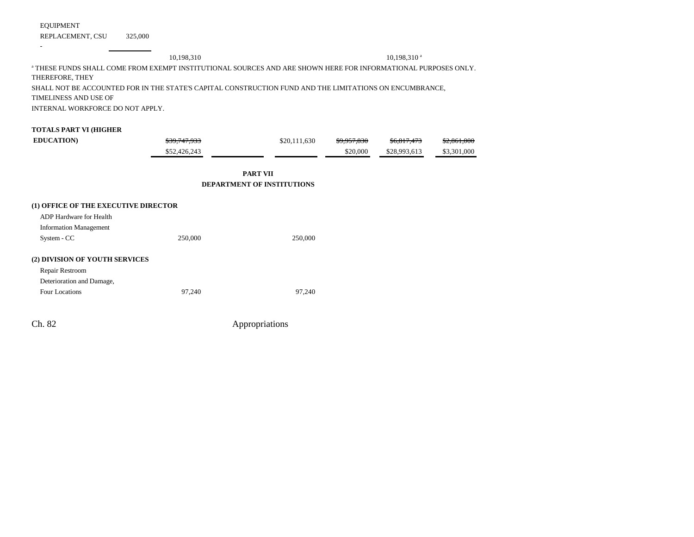EQUIPMENT

-

REPLACEMENT, CSU 325,000

# 10,198,310 10,198,310 a a THESE FUNDS SHALL COME FROM EXEMPT INSTITUTIONAL SOURCES AND ARE SHOWN HERE FOR INFORMATIONAL PURPOSES ONLY. THEREFORE, THEY SHALL NOT BE ACCOUNTED FOR IN THE STATE'S CAPITAL CONSTRUCTION FUND AND THE LIMITATIONS ON ENCUMBRANCE, TIMELINESS AND USE OF INTERNAL WORKFORCE DO NOT APPLY. **TOTALS PART VI (HIGHER EDUCATION**)  $\frac{$39,747,933}{11,630}$   $\frac{$9,957,830}{10,811,473}$   $\frac{$2,861,000}{10,811,473}$ \$52,426,243 \$20,000 \$28,993,613 \$3,301,000 **PART VIIDEPARTMENT OF INSTITUTIONS(1) OFFICE OF THE EXECUTIVE DIRECTOR** ADP Hardware for HealthInformation Management System - CC 250,000 250,000 250,000 250,000 **(2) DIVISION OF YOUTH SERVICES** Repair Restroom Deterioration and Damage, Four Locations 97,240 97,240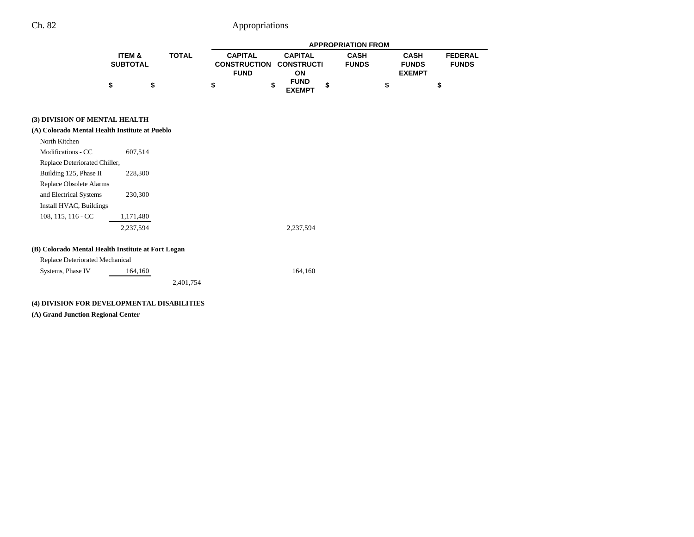|                   |              |                                |                              | <b>APPROPRIATION FROM</b> |               |                |
|-------------------|--------------|--------------------------------|------------------------------|---------------------------|---------------|----------------|
| <b>ITEM &amp;</b> | <b>TOTAL</b> | <b>CAPITAL</b>                 | <b>CAPITAL</b>               | <b>CASH</b>               | <b>CASH</b>   | <b>FEDERAL</b> |
| <b>SUBTOTAL</b>   |              | <b>CONSTRUCTION CONSTRUCTI</b> |                              | <b>FUNDS</b>              | <b>FUNDS</b>  | <b>FUNDS</b>   |
|                   |              | <b>FUND</b>                    | ΟN                           |                           | <b>EXEMPT</b> |                |
|                   |              |                                | <b>FUND</b><br><b>EXEMPT</b> |                           |               | S              |

### **(3) DIVISION OF MENTAL HEALTH**

| (A) Colorado Mental Health Institute at Pueblo     |           |           |           |
|----------------------------------------------------|-----------|-----------|-----------|
| North Kitchen                                      |           |           |           |
| Modifications - CC                                 | 607,514   |           |           |
| Replace Deteriorated Chiller,                      |           |           |           |
| Building 125, Phase II                             | 228,300   |           |           |
| Replace Obsolete Alarms                            |           |           |           |
| and Electrical Systems                             | 230,300   |           |           |
| Install HVAC, Buildings                            |           |           |           |
| $108, 115, 116 - CC$                               | 1,171,480 |           |           |
|                                                    | 2,237,594 |           | 2,237,594 |
| (B) Colorado Mental Health Institute at Fort Logan |           |           |           |
| Replace Deteriorated Mechanical                    |           |           |           |
| Systems, Phase IV                                  | 164,160   |           | 164,160   |
|                                                    |           | 2,401,754 |           |

### **(4) DIVISION FOR DEVELOPMENTAL DISABILITIES**

**(A) Grand Junction Regional Center**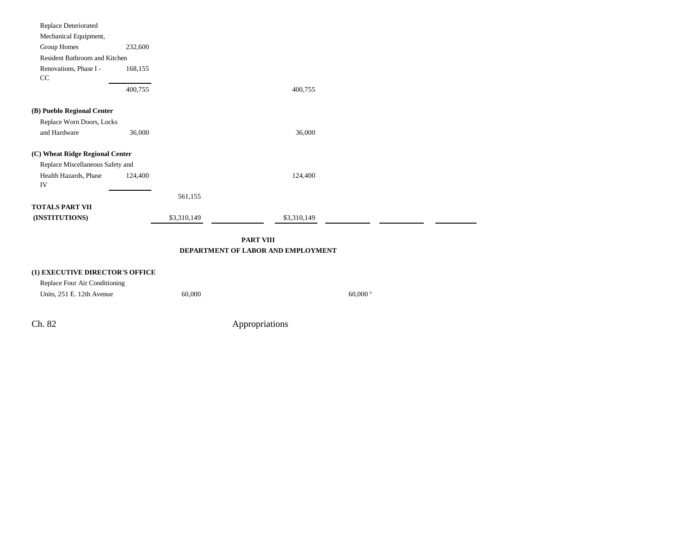| <b>PART VIII</b><br>DEPARTMENT OF LABOR AND EMPLOYMENT    |         |             |             |  |  |  |
|-----------------------------------------------------------|---------|-------------|-------------|--|--|--|
| <b>TOTALS PART VII</b><br>(INSTITUTIONS)                  |         | \$3,310,149 | \$3,310,149 |  |  |  |
|                                                           |         | 561,155     |             |  |  |  |
| IV                                                        |         |             |             |  |  |  |
| Replace Miscellaneous Safety and<br>Health Hazards, Phase | 124,400 |             | 124,400     |  |  |  |
| (C) Wheat Ridge Regional Center                           |         |             |             |  |  |  |
| and Hardware                                              | 36,000  |             | 36,000      |  |  |  |
| Replace Worn Doors, Locks                                 |         |             |             |  |  |  |
| (B) Pueblo Regional Center                                |         |             |             |  |  |  |
|                                                           | 400,755 |             | 400,755     |  |  |  |
| CC                                                        |         |             |             |  |  |  |
| Renovations, Phase I -                                    | 168,155 |             |             |  |  |  |
| Resident Bathroom and Kitchen                             |         |             |             |  |  |  |
| Mechanical Equipment,<br>Group Homes                      | 232,600 |             |             |  |  |  |
| Replace Deteriorated                                      |         |             |             |  |  |  |

| (1) EXECUTIVE DIRECTOR'S OFFICE |        |                       |
|---------------------------------|--------|-----------------------|
| Replace Four Air Conditioning   |        |                       |
| Units, 251 E. 12th Avenue       | 60,000 | $60.000$ <sup>a</sup> |

÷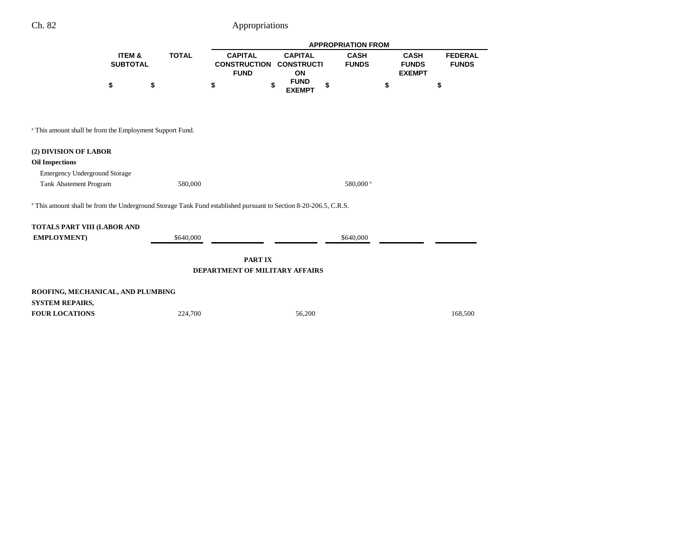|                   |              |                |                                | <b>APPROPRIATION FROM</b> |               |                |  |
|-------------------|--------------|----------------|--------------------------------|---------------------------|---------------|----------------|--|
| <b>ITEM &amp;</b> | <b>TOTAL</b> | <b>CAPITAL</b> | <b>CAPITAL</b>                 | <b>CASH</b>               | <b>CASH</b>   | <b>FEDERAL</b> |  |
| <b>SUBTOTAL</b>   |              |                | <b>CONSTRUCTION CONSTRUCTI</b> | <b>FUNDS</b>              | <b>FUNDS</b>  | <b>FUNDS</b>   |  |
|                   |              | <b>FUND</b>    | ΟN                             |                           | <b>EXEMPT</b> |                |  |
|                   | S            | \$             | <b>FUND</b><br><b>EXEMPT</b>   |                           |               |                |  |

a This amount shall be from the Employment Support Fund.

### **(2) DIVISION OF LABOR**

### **Oil Inspections**

Emergency Underground Storage

Tank Abatement Program 580,000 580,000 580,000 580,000 580,000 580,000 580,000 580,000 580,000 580,000 580,000 580,000 580,000 580,000 580,000 580,000 580,000 580,000 580,000 580,000 580,000 580,000 580,000 580,000 580,000

<sup>a</sup> This amount shall be from the Underground Storage Tank Fund established pursuant to Section 8-20-206.5, C.R.S.

| TOTALS PART VIII (LABOR AND |           |  |           |  |  |  |  |  |  |  |
|-----------------------------|-----------|--|-----------|--|--|--|--|--|--|--|
| <b>EMPLOYMENT</b> )         | \$640,000 |  | \$640,000 |  |  |  |  |  |  |  |
|                             |           |  |           |  |  |  |  |  |  |  |

**PART IX DEPARTMENT OF MILITARY AFFAIRS**

| ROOFING, MECHANICAL, AND PLUMBING |         |        |         |  |  |  |  |
|-----------------------------------|---------|--------|---------|--|--|--|--|
| SYSTEM REPAIRS,                   |         |        |         |  |  |  |  |
| <b>FOUR LOCATIONS</b>             | 224,700 | 56,200 | 168.500 |  |  |  |  |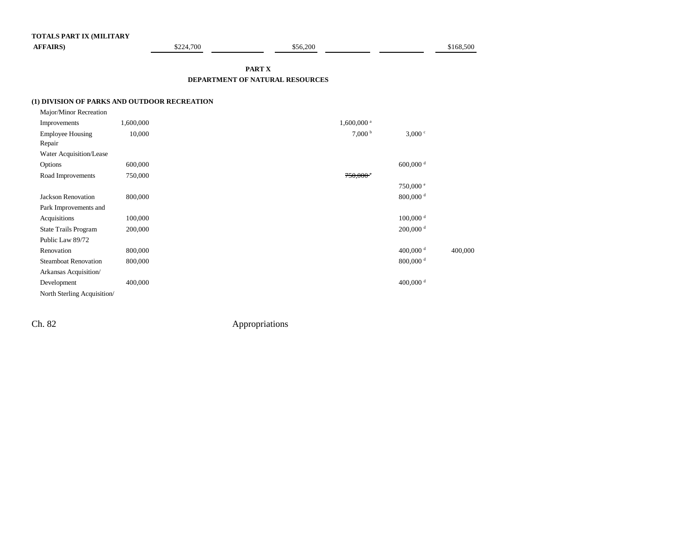| <b>AFFAIRS</b>                               |           | \$224,700 | \$56,200                        |                        | \$168,500  |  |
|----------------------------------------------|-----------|-----------|---------------------------------|------------------------|------------|--|
|                                              |           |           | PART X                          |                        |            |  |
|                                              |           |           | DEPARTMENT OF NATURAL RESOURCES |                        |            |  |
| (1) DIVISION OF PARKS AND OUTDOOR RECREATION |           |           |                                 |                        |            |  |
| Major/Minor Recreation                       |           |           |                                 |                        |            |  |
| Improvements                                 | 1,600,000 |           | $1,600,000$ <sup>a</sup>        |                        |            |  |
| <b>Employee Housing</b>                      | 10,000    |           | 7,000 <sup>b</sup>              | $3,000 \text{°}$       |            |  |
| Repair                                       |           |           |                                 |                        |            |  |
| Water Acquisition/Lease                      |           |           |                                 |                        |            |  |
| Options                                      | 600,000   |           |                                 | 600,000 $^{\rm d}$     |            |  |
| Road Improvements                            | 750,000   |           | $750,000$ <sup>e</sup>          |                        |            |  |
|                                              |           |           |                                 | 750,000 °              |            |  |
| Jackson Renovation                           | 800,000   |           |                                 | $800,000$ <sup>d</sup> |            |  |
| Park Improvements and                        |           |           |                                 |                        |            |  |
| Acquisitions                                 | 100,000   |           |                                 | $100,000$ <sup>d</sup> |            |  |
| <b>State Trails Program</b>                  | 200,000   |           |                                 | $200,000$ <sup>d</sup> |            |  |
| Public Law 89/72                             |           |           |                                 |                        |            |  |
|                                              | 0.00000   |           |                                 | $\sqrt{2}$             | $\sqrt{2}$ |  |

| Public Law 89/72            |         |                        |         |
|-----------------------------|---------|------------------------|---------|
| Renovation                  | 800,000 | 400,000 $^{\rm d}$     | 400,000 |
| <b>Steamboat Renovation</b> | 800,000 | $800,000$ <sup>d</sup> |         |
| Arkansas Acquisition/       |         |                        |         |
| Development                 | 400,000 | 400,000 $^{\rm d}$     |         |
| North Sterling Acquisition  |         |                        |         |
|                             |         |                        |         |

**TOTALS PART IX (MILITARY**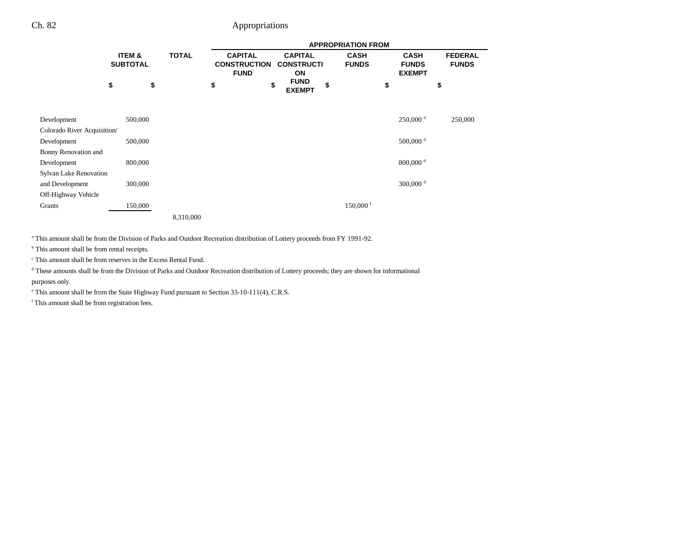|                             |                           |    | <b>APPROPRIATION FROM</b> |    |                                                      |    |                                           |    |                             |    |                                              |    |                                |
|-----------------------------|---------------------------|----|---------------------------|----|------------------------------------------------------|----|-------------------------------------------|----|-----------------------------|----|----------------------------------------------|----|--------------------------------|
|                             | ITEM &<br><b>SUBTOTAL</b> |    | <b>TOTAL</b>              |    | <b>CAPITAL</b><br><b>CONSTRUCTION</b><br><b>FUND</b> |    | <b>CAPITAL</b><br><b>CONSTRUCTI</b><br>ON |    | <b>CASH</b><br><b>FUNDS</b> |    | <b>CASH</b><br><b>FUNDS</b><br><b>EXEMPT</b> |    | <b>FEDERAL</b><br><b>FUNDS</b> |
|                             | \$                        | \$ |                           | \$ |                                                      | \$ | <b>FUND</b><br><b>EXEMPT</b>              | \$ |                             | \$ |                                              | \$ |                                |
| Development                 | 500,000                   |    |                           |    |                                                      |    |                                           |    |                             |    | $250,000$ <sup>d</sup>                       |    | 250,000                        |
| Colorado River Acquisition/ |                           |    |                           |    |                                                      |    |                                           |    |                             |    |                                              |    |                                |
| Development                 | 500,000                   |    |                           |    |                                                      |    |                                           |    |                             |    | 500,000 $^{\rm d}$                           |    |                                |
| Bonny Renovation and        |                           |    |                           |    |                                                      |    |                                           |    |                             |    |                                              |    |                                |
| Development                 | 800,000                   |    |                           |    |                                                      |    |                                           |    |                             |    | $800,000$ <sup>d</sup>                       |    |                                |
| Sylvan Lake Renovation      |                           |    |                           |    |                                                      |    |                                           |    |                             |    |                                              |    |                                |
| and Development             | 300,000                   |    |                           |    |                                                      |    |                                           |    |                             |    | 300,000 $^{\rm d}$                           |    |                                |
| Off-Highway Vehicle         |                           |    |                           |    |                                                      |    |                                           |    |                             |    |                                              |    |                                |
| Grants                      | 150,000                   |    |                           |    |                                                      |    |                                           |    | $150,000$ <sup>f</sup>      |    |                                              |    |                                |
|                             |                           |    | 8,310,000                 |    |                                                      |    |                                           |    |                             |    |                                              |    |                                |

a This amount shall be from the Division of Parks and Outdoor Recreation distribution of Lottery proceeds from FY 1991-92.

<sup>b</sup> This amount shall be from rental receipts.

c This amount shall be from reserves in the Excess Rental Fund.

<sup>d</sup> These amounts shall be from the Division of Parks and Outdoor Recreation distribution of Lottery proceeds; they are shown for informational purposes only.

e This amount shall be from the State Highway Fund pursuant to Section 33-10-111(4), C.R.S.

f This amount shall be from registration fees.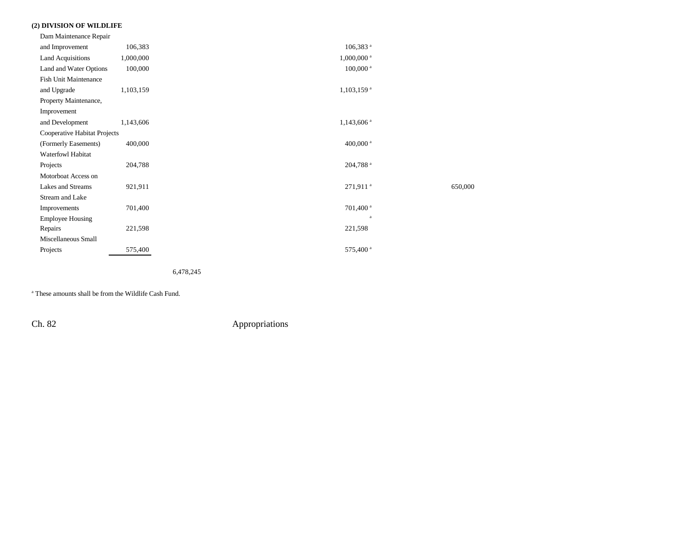### **(2) DIVISION OF WILDLIFE**

| Dam Maintenance Repair       |           |                        |         |
|------------------------------|-----------|------------------------|---------|
| and Improvement              | 106,383   | $106,383$ <sup>a</sup> |         |
| <b>Land Acquisitions</b>     | 1,000,000 | 1,000,000 <sup>a</sup> |         |
| Land and Water Options       | 100,000   | $100,000$ <sup>a</sup> |         |
| <b>Fish Unit Maintenance</b> |           |                        |         |
| and Upgrade                  | 1,103,159 | 1,103,159 <sup>a</sup> |         |
| Property Maintenance,        |           |                        |         |
| Improvement                  |           |                        |         |
| and Development              | 1,143,606 | 1,143,606 <sup>a</sup> |         |
| Cooperative Habitat Projects |           |                        |         |
| (Formerly Easements)         | 400,000   | 400,000 $^{\rm a}$     |         |
| Waterfowl Habitat            |           |                        |         |
| Projects                     | 204,788   | 204,788 <sup>a</sup>   |         |
| Motorboat Access on          |           |                        |         |
| Lakes and Streams            | 921,911   | 271,911 <sup>a</sup>   | 650,000 |
| Stream and Lake              |           |                        |         |
| Improvements                 | 701,400   | 701,400 <sup>a</sup>   |         |
| <b>Employee Housing</b>      |           | a                      |         |
| Repairs                      | 221,598   | 221,598                |         |
| Miscellaneous Small          |           |                        |         |
| Projects                     | 575,400   | 575,400 <sup>a</sup>   |         |
|                              |           |                        |         |

6,478,245

a These amounts shall be from the Wildlife Cash Fund.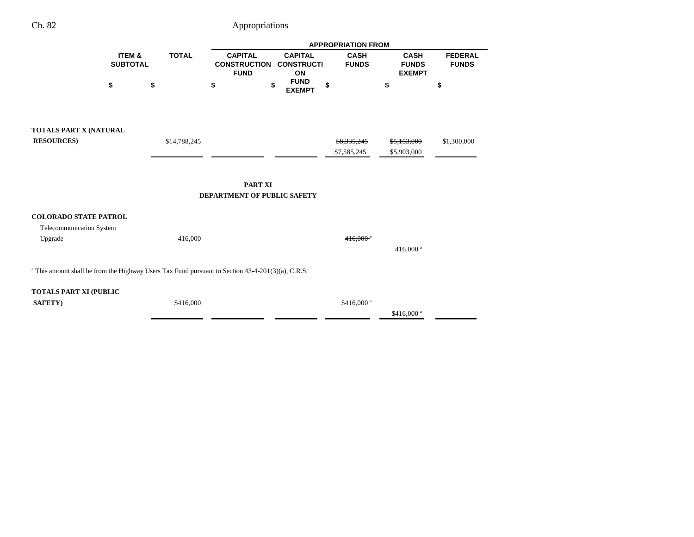|                                                                                                                 |                           |              | <b>APPROPRIATION FROM</b>                            |                                           |                             |                                              |                                |
|-----------------------------------------------------------------------------------------------------------------|---------------------------|--------------|------------------------------------------------------|-------------------------------------------|-----------------------------|----------------------------------------------|--------------------------------|
|                                                                                                                 | ITEM &<br><b>SUBTOTAL</b> | <b>TOTAL</b> | <b>CAPITAL</b><br><b>CONSTRUCTION</b><br><b>FUND</b> | <b>CAPITAL</b><br><b>CONSTRUCTI</b><br>ON | <b>CASH</b><br><b>FUNDS</b> | <b>CASH</b><br><b>FUNDS</b><br><b>EXEMPT</b> | <b>FEDERAL</b><br><b>FUNDS</b> |
|                                                                                                                 | \$                        | \$           | \$                                                   | <b>FUND</b><br>\$<br><b>EXEMPT</b>        | \$                          | \$                                           | \$                             |
| TOTALS PART X (NATURAL<br><b>RESOURCES</b> )                                                                    |                           | \$14,788,245 |                                                      |                                           | \$8,335,245                 | <del>\$5,153,000</del>                       | \$1,300,000                    |
|                                                                                                                 |                           |              |                                                      |                                           | \$7,585,245                 | \$5,903,000                                  |                                |
|                                                                                                                 |                           |              | <b>PART XI</b>                                       |                                           |                             |                                              |                                |
|                                                                                                                 |                           |              | DEPARTMENT OF PUBLIC SAFETY                          |                                           |                             |                                              |                                |
| <b>COLORADO STATE PATROL</b>                                                                                    |                           |              |                                                      |                                           |                             |                                              |                                |
| Telecommunication System<br>Upgrade                                                                             |                           | 416,000      |                                                      |                                           | $416,000$ <sup>a</sup>      |                                              |                                |
|                                                                                                                 |                           |              |                                                      |                                           |                             | 416,000 <sup>a</sup>                         |                                |
| <sup>a</sup> This amount shall be from the Highway Users Tax Fund pursuant to Section $43-4-201(3)(a)$ , C.R.S. |                           |              |                                                      |                                           |                             |                                              |                                |
| <b>TOTALS PART XI (PUBLIC</b>                                                                                   |                           |              |                                                      |                                           |                             |                                              |                                |
| <b>SAFETY)</b>                                                                                                  |                           | \$416,000    |                                                      |                                           | $$416,000$ <sup>a</sup>     | \$416,000 <sup>a</sup>                       |                                |
|                                                                                                                 |                           |              |                                                      |                                           |                             |                                              |                                |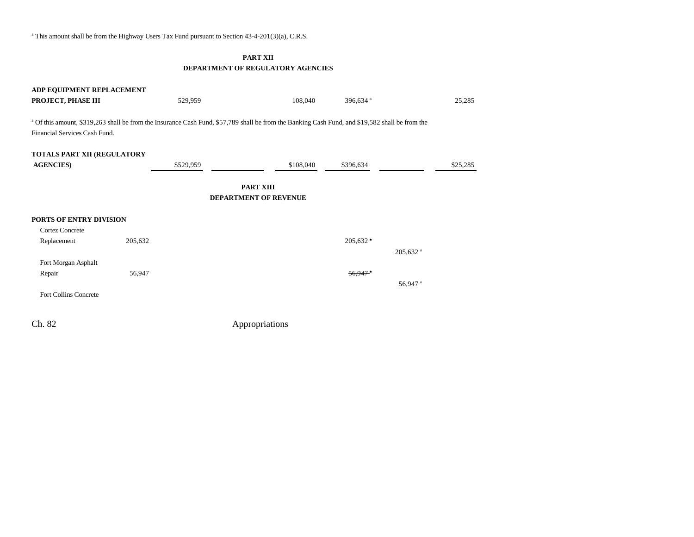<sup>a</sup> This amount shall be from the Highway Users Tax Fund pursuant to Section 43-4-201(3)(a), C.R.S.

### **PART XII DEPARTMENT OF REGULATORY AGENCIES**

| ADP EQUIPMENT REPLACEMENT     |         |           |                                                                                                                                                 |                        |                      |          |
|-------------------------------|---------|-----------|-------------------------------------------------------------------------------------------------------------------------------------------------|------------------------|----------------------|----------|
| PROJECT, PHASE III            |         | 529,959   | 108,040                                                                                                                                         | 396,634 <sup>a</sup>   |                      | 25,285   |
| Financial Services Cash Fund. |         |           | a Of this amount, \$319,263 shall be from the Insurance Cash Fund, \$57,789 shall be from the Banking Cash Fund, and \$19,582 shall be from the |                        |                      |          |
| TOTALS PART XII (REGULATORY   |         |           |                                                                                                                                                 |                        |                      |          |
| <b>AGENCIES</b> )             |         | \$529,959 | \$108,040                                                                                                                                       | \$396,634              |                      | \$25,285 |
|                               |         |           |                                                                                                                                                 |                        |                      |          |
|                               |         |           | <b>PART XIII</b>                                                                                                                                |                        |                      |          |
|                               |         |           | <b>DEPARTMENT OF REVENUE</b>                                                                                                                    |                        |                      |          |
| PORTS OF ENTRY DIVISION       |         |           |                                                                                                                                                 |                        |                      |          |
| <b>Cortez Concrete</b>        |         |           |                                                                                                                                                 |                        |                      |          |
| Replacement                   | 205,632 |           |                                                                                                                                                 | $205,632$ <sup>*</sup> |                      |          |
|                               |         |           |                                                                                                                                                 |                        | 205,632 <sup>a</sup> |          |
| Fort Morgan Asphalt           |         |           |                                                                                                                                                 |                        |                      |          |
| Repair                        | 56,947  |           |                                                                                                                                                 | $56,947$ <sup>a</sup>  |                      |          |
|                               |         |           |                                                                                                                                                 |                        | 56,947 <sup>a</sup>  |          |
| <b>Fort Collins Concrete</b>  |         |           |                                                                                                                                                 |                        |                      |          |
|                               |         |           |                                                                                                                                                 |                        |                      |          |
| Ch. 82                        |         |           | Appropriations                                                                                                                                  |                        |                      |          |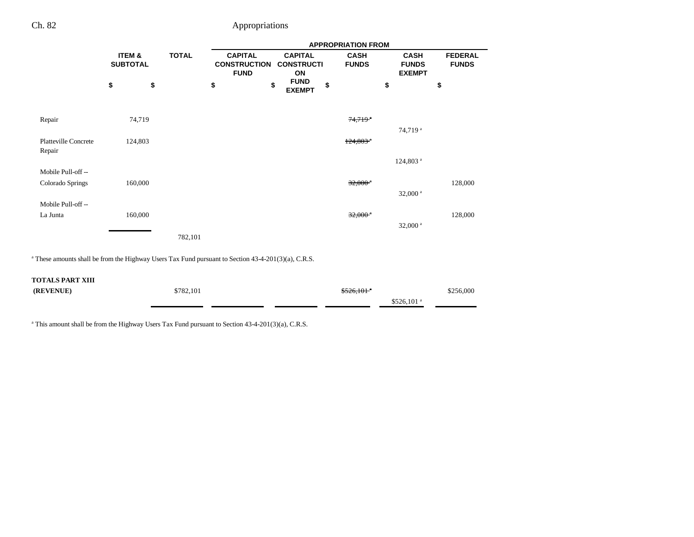|                                       |                           |              | <b>APPROPRIATION FROM</b>                            |                                           |                             |                                              |                                |
|---------------------------------------|---------------------------|--------------|------------------------------------------------------|-------------------------------------------|-----------------------------|----------------------------------------------|--------------------------------|
|                                       | ITEM &<br><b>SUBTOTAL</b> | <b>TOTAL</b> | <b>CAPITAL</b><br><b>CONSTRUCTION</b><br><b>FUND</b> | <b>CAPITAL</b><br><b>CONSTRUCTI</b><br>ON | <b>CASH</b><br><b>FUNDS</b> | <b>CASH</b><br><b>FUNDS</b><br><b>EXEMPT</b> | <b>FEDERAL</b><br><b>FUNDS</b> |
|                                       | \$<br>\$                  |              | \$                                                   | <b>FUND</b><br>\$<br>\$<br><b>EXEMPT</b>  |                             | \$                                           | \$                             |
| Repair                                | 74,719                    |              |                                                      |                                           | $74,719$ <sup>*</sup>       | 74,719 <sup>a</sup>                          |                                |
| <b>Platteville Concrete</b><br>Repair | 124,803                   |              |                                                      |                                           | $124,803$ <sup>*</sup>      |                                              |                                |
|                                       |                           |              |                                                      |                                           |                             | 124,803 <sup>a</sup>                         |                                |
| Mobile Pull-off-<br>Colorado Springs  | 160,000                   |              |                                                      |                                           | $32,000$ <sup>*</sup>       | $32,000$ <sup>a</sup>                        | 128,000                        |
| Mobile Pull-off-                      |                           |              |                                                      |                                           |                             |                                              |                                |
| La Junta                              | 160,000                   |              |                                                      |                                           | $32,000$ <sup>a</sup>       |                                              | 128,000                        |
|                                       |                           | 782,101      |                                                      |                                           |                             | $32,000$ <sup>a</sup>                        |                                |

<sup>a</sup> These amounts shall be from the Highway Users Tax Fund pursuant to Section 43-4-201(3)(a), C.R.S.

#### **TOTALS PART XIII**

| (REVENUE) | \$782,101 | $$526.101$ <sup>*</sup> | \$256,000 |
|-----------|-----------|-------------------------|-----------|
|           |           | $$526.101$ <sup>a</sup> |           |

<sup>a</sup> This amount shall be from the Highway Users Tax Fund pursuant to Section 43-4-201(3)(a), C.R.S.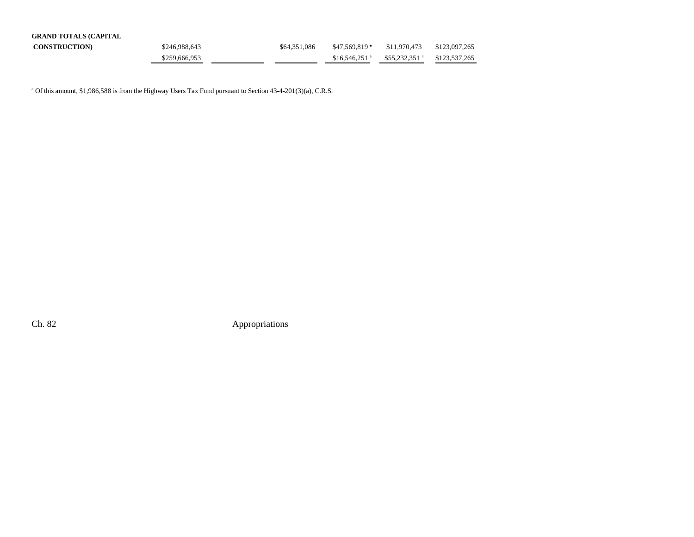| <b>GRAND TOTALS (CAPITAL</b> |               |              |                            |                            |                          |
|------------------------------|---------------|--------------|----------------------------|----------------------------|--------------------------|
| <b>CONSTRUCTION</b>          | \$246,988,643 | \$64,351,086 | <del>\$47.569.819</del> *  | <del>\$11.970.473</del>    | <del>\$123.097.265</del> |
|                              | \$259,666,953 |              | $$16.546.251$ <sup>a</sup> | $$55.232.351$ <sup>a</sup> | \$123,537,265            |

<sup>a</sup> Of this amount, \$1,986,588 is from the Highway Users Tax Fund pursuant to Section 43-4-201(3)(a), C.R.S.